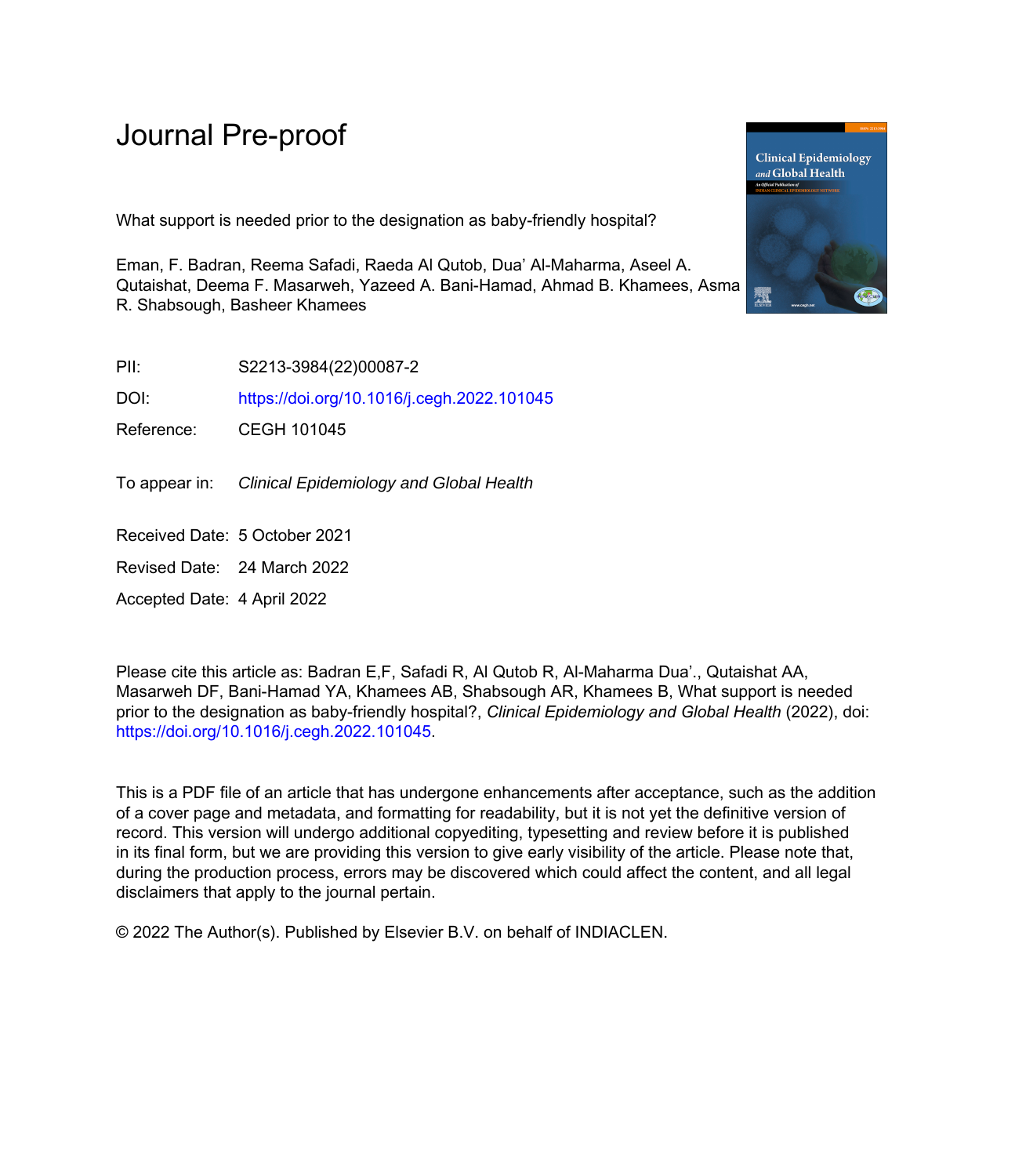# Journal Pre-proof

What support is needed prior to the designation as baby-friendly hospital?

Eman, F. Badran, Reema Safadi, Raeda Al Qutob, Dua' Al-Maharma, Aseel A. Qutaishat, Deema F. Masarweh, Yazeed A. Bani-Hamad, Ahmad B. Khamees, Asma R. Shabsough, Basheer Khamees

PII: S2213-3984(22)00087-2

DOI: <https://doi.org/10.1016/j.cegh.2022.101045>

Reference: CEGH 101045

To appear in: Clinical Epidemiology and Global Health

Received Date: 5 October 2021

Revised Date: 24 March 2022

Accepted Date: 4 April 2022

Please cite this article as: Badran E,F, Safadi R, Al Qutob R, Al-Maharma Dua'., Qutaishat AA, Masarweh DF, Bani-Hamad YA, Khamees AB, Shabsough AR, Khamees B, What support is needed prior to the designation as baby-friendly hospital?, *Clinical Epidemiology and Global Health* (2022), doi: <https://doi.org/10.1016/j.cegh.2022.101045>.

This is a PDF file of an article that has undergone enhancements after acceptance, such as the addition of a cover page and metadata, and formatting for readability, but it is not yet the definitive version of record. This version will undergo additional copyediting, typesetting and review before it is published in its final form, but we are providing this version to give early visibility of the article. Please note that, during the production process, errors may be discovered which could affect the content, and all legal disclaimers that apply to the journal pertain.

© 2022 The Author(s). Published by Elsevier B.V. on behalf of INDIACLEN.

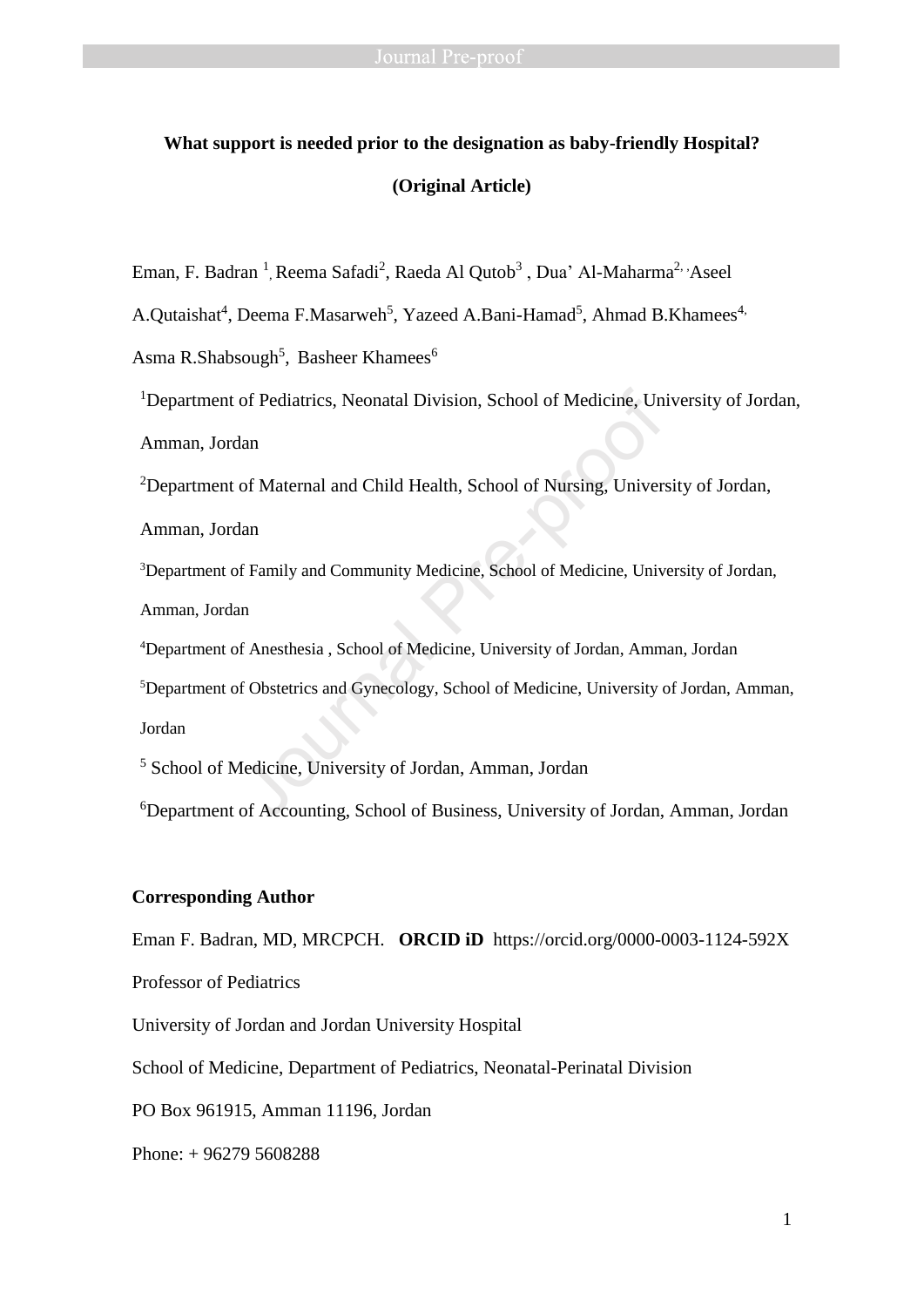# **What support is needed prior to the designation as baby-friendly Hospital? (Original Article)**

Eman, F. Badran<sup>1</sup>, Reema Safadi<sup>2</sup>, Raeda Al Qutob<sup>3</sup>, Dua' Al-Maharma<sup>2, 1</sup>Aseel

A.Qutaishat<sup>4</sup>, Deema F.Masarweh<sup>5</sup>, Yazeed A.Bani-Hamad<sup>5</sup>, Ahmad B.Khamees<sup>4,</sup>

Asma R.Shabsough<sup>5</sup>, Basheer Khamees<sup>6</sup>

<sup>1</sup>Department of Pediatrics, Neonatal Division, School of Medicine, University of Jordan,

Amman, Jordan

<sup>2</sup>Department of Maternal and Child Health, School of Nursing, University of Jordan,

Amman, Jordan

<sup>3</sup>Department of Family and Community Medicine, School of Medicine, University of Jordan, Amman, Jordan of Pediatrics, Neonatal Division, School of Medicine, Universel<br>and of Maternal and Child Health, School of Nursing, Universel<br>and<br>and f Family and Community Medicine, School of Medicine, Universel<br>and<br>and f Anesthesia , S

<sup>4</sup>Department of Anesthesia , School of Medicine, University of Jordan, Amman, Jordan

<sup>5</sup>Department of Obstetrics and Gynecology, School of Medicine, University of Jordan, Amman, Jordan

<sup>5</sup> School of Medicine, University of Jordan, Amman, Jordan

<sup>6</sup>Department of Accounting, School of Business, University of Jordan, Amman, Jordan

### **Corresponding Author**

Eman F. Badran, MD, MRCPCH. **ORCID iD** https://orcid.org/0000-0003-1124-592X

Professor of Pediatrics

University of Jordan and Jordan University Hospital

School of Medicine, Department of Pediatrics, Neonatal-Perinatal Division

PO Box 961915, Amman 11196, Jordan

Phone: + 96279 5608288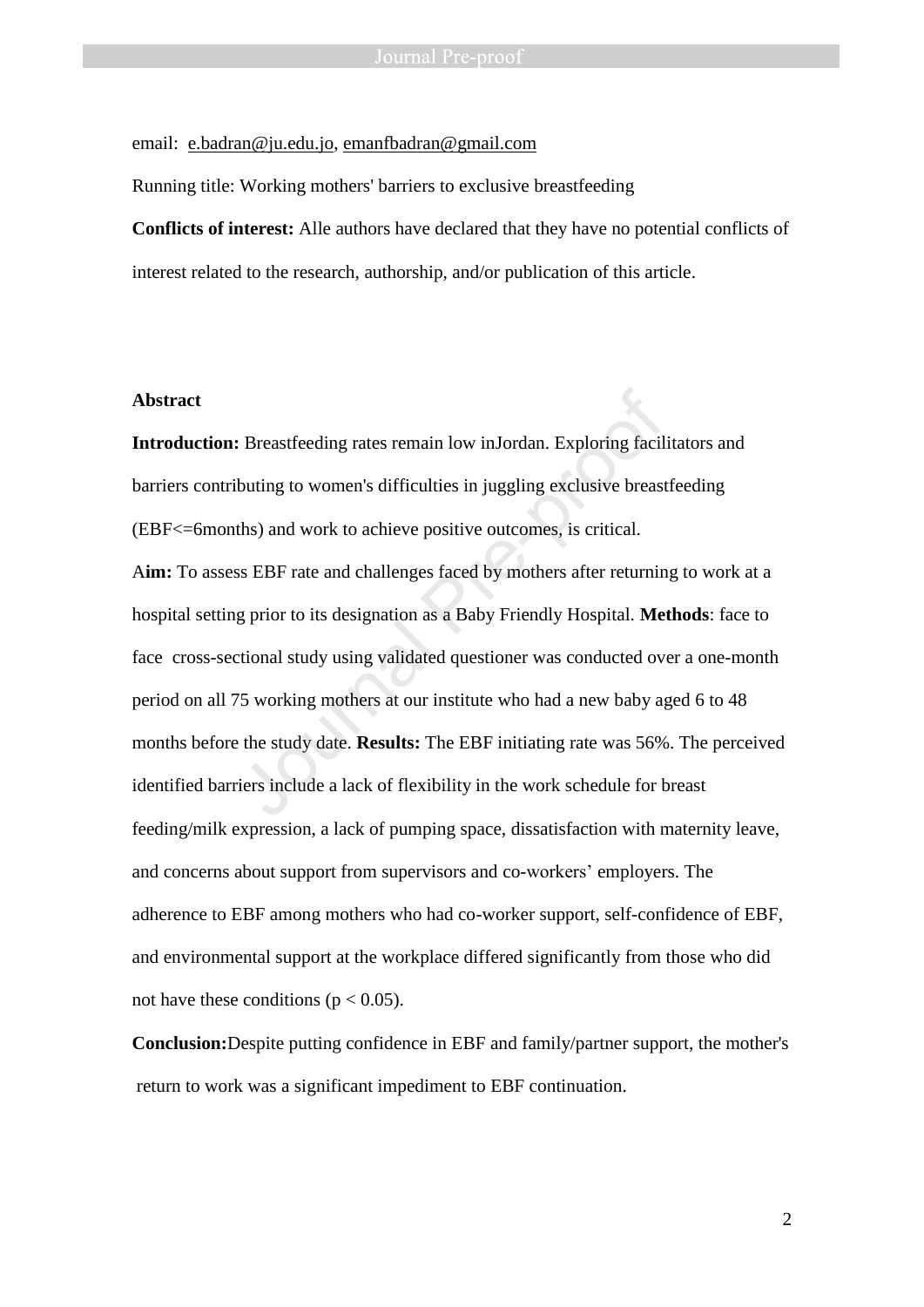email: [e.badran@ju.edu.jo,](mailto:e.badran@ju.edu.jo) [emanfbadran@gmail.com](mailto:emanfbadran@gmail.com)

Running title: Working mothers' barriers to exclusive breastfeeding

**Conflicts of interest:** Alle authors have declared that they have no potential conflicts of interest related to the research, authorship, and/or publication of this article.

### **Abstract**

**Introduction:** Breastfeeding rates remain low inJordan. Exploring facilitators and barriers contributing to women's difficulties in juggling exclusive breastfeeding (EBF<=6months) and work to achieve positive outcomes, is critical.

A**im:** To assess EBF rate and challenges faced by mothers after returning to work at a hospital setting prior to its designation as a Baby Friendly Hospital. **Methods**: face to face cross-sectional study using validated questioner was conducted over a one-month period on all 75 working mothers at our institute who had a new baby aged 6 to 48 months before the study date. **Results:** The EBF initiating rate was 56%. The perceived identified barriers include a lack of flexibility in the work schedule for breast feeding/milk expression, a lack of pumping space, dissatisfaction with maternity leave, and concerns about support from supervisors and co-workers' employers. The adherence to EBF among mothers who had co-worker support, self-confidence of EBF, and environmental support at the workplace differed significantly from those who did not have these conditions ( $p < 0.05$ ). Exploring facil:<br>Breastfeeding rates remain low inJordan. Exploring facil<br>buting to women's difficulties in juggling exclusive breast<br>ths) and work to achieve positive outcomes, is critical.<br>ss EBF rate and challenges face

**Conclusion:**Despite putting confidence in EBF and family/partner support, the mother's return to work was a significant impediment to EBF continuation.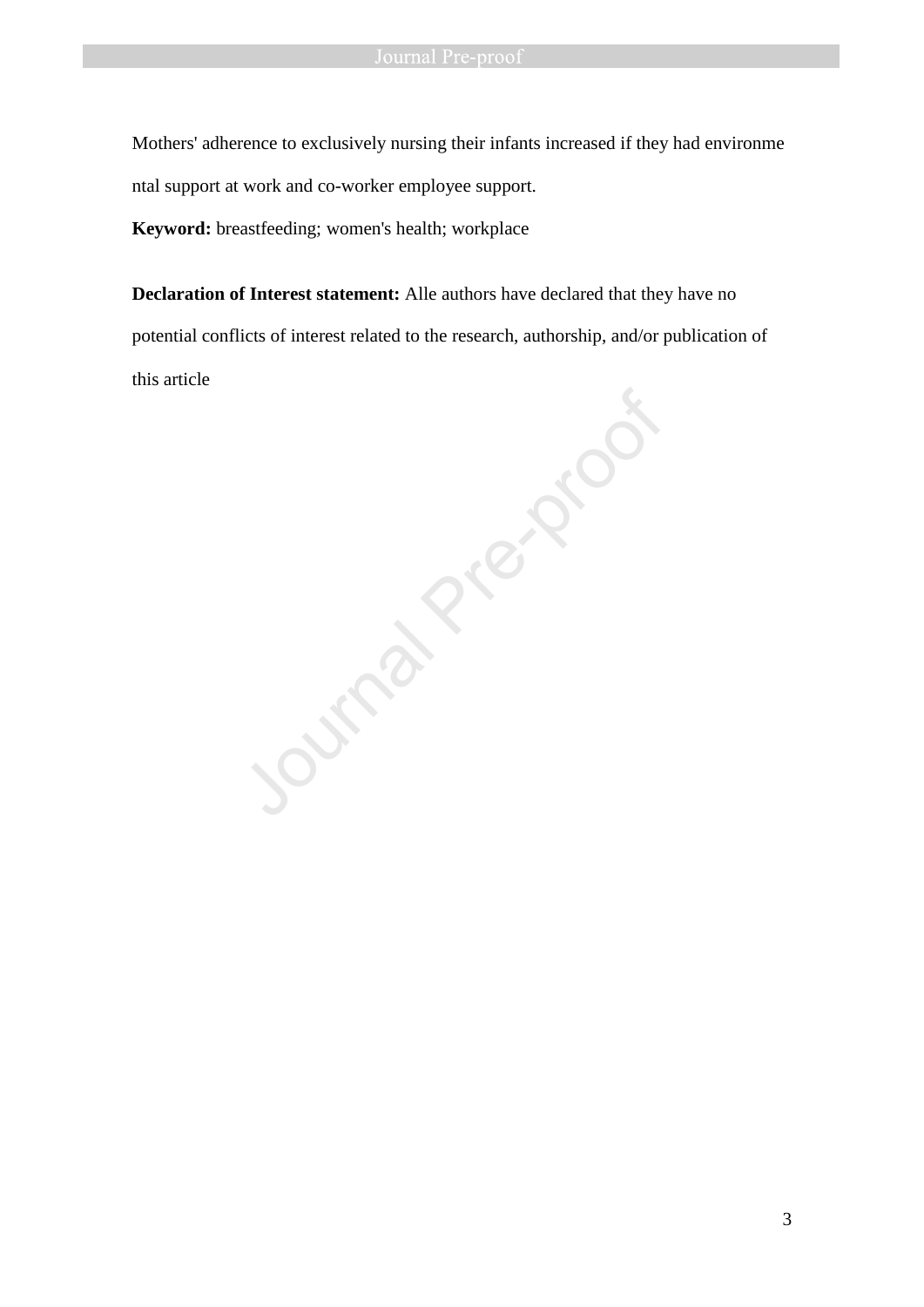Mothers' adherence to exclusively nursing their infants increased if they had environme ntal support at work and co-worker employee support.

**Keyword:** breastfeeding; women's health; workplace

**Declaration of Interest statement:** Alle authors have declared that they have no potential conflicts of interest related to the research, authorship, and/or publication of this article

Jumple Pre-proof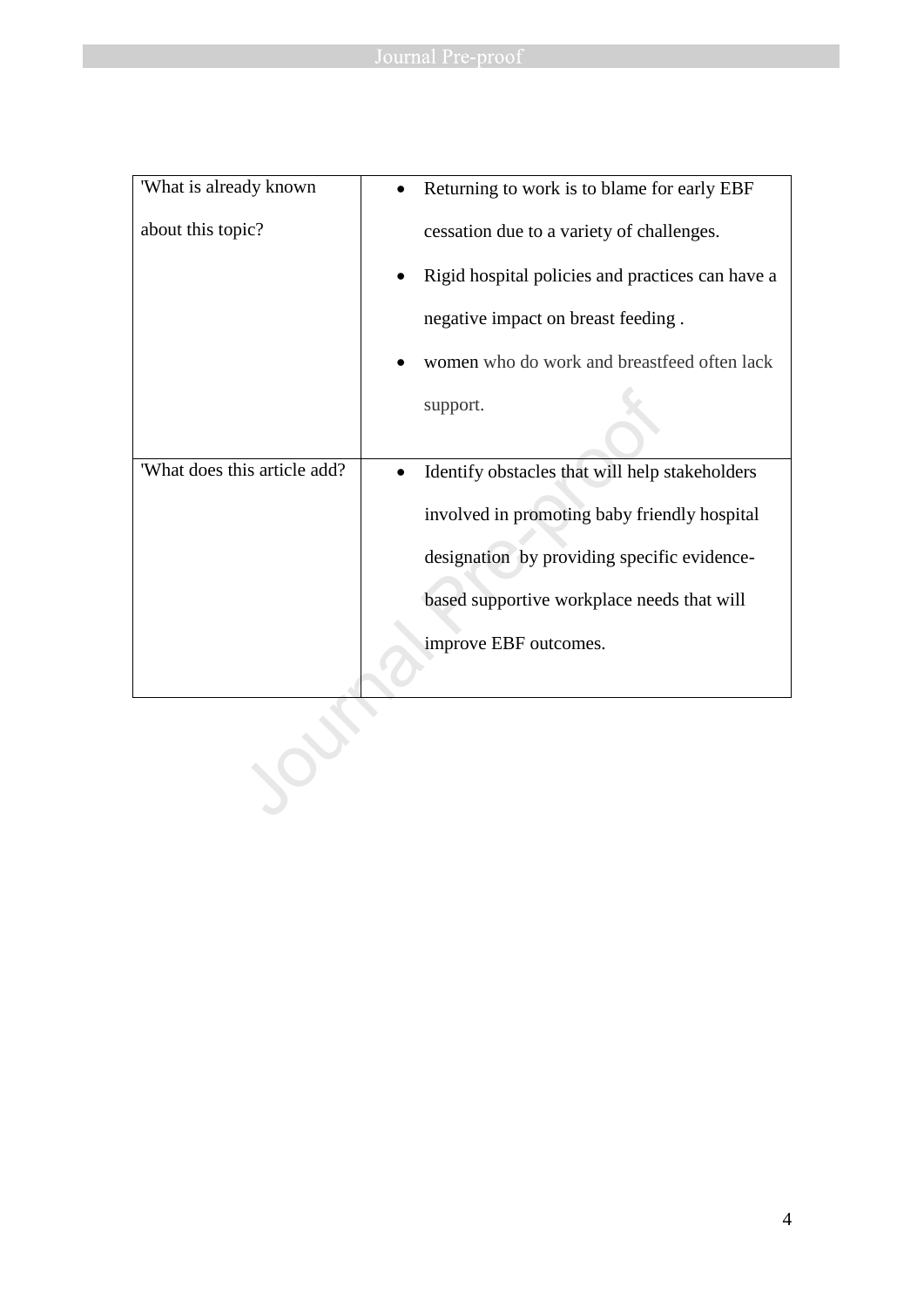| 'What is already known       | Returning to work is to blame for early EBF      |
|------------------------------|--------------------------------------------------|
| about this topic?            | cessation due to a variety of challenges.        |
|                              | Rigid hospital policies and practices can have a |
|                              | negative impact on breast feeding.               |
|                              | women who do work and breastfeed often lack      |
|                              | support.                                         |
|                              |                                                  |
| 'What does this article add? | Identify obstacles that will help stakeholders   |
|                              | involved in promoting baby friendly hospital     |
|                              | designation by providing specific evidence-      |
|                              | based supportive workplace needs that will       |
|                              | improve EBF outcomes.                            |
|                              |                                                  |
|                              |                                                  |
|                              |                                                  |
|                              |                                                  |
|                              |                                                  |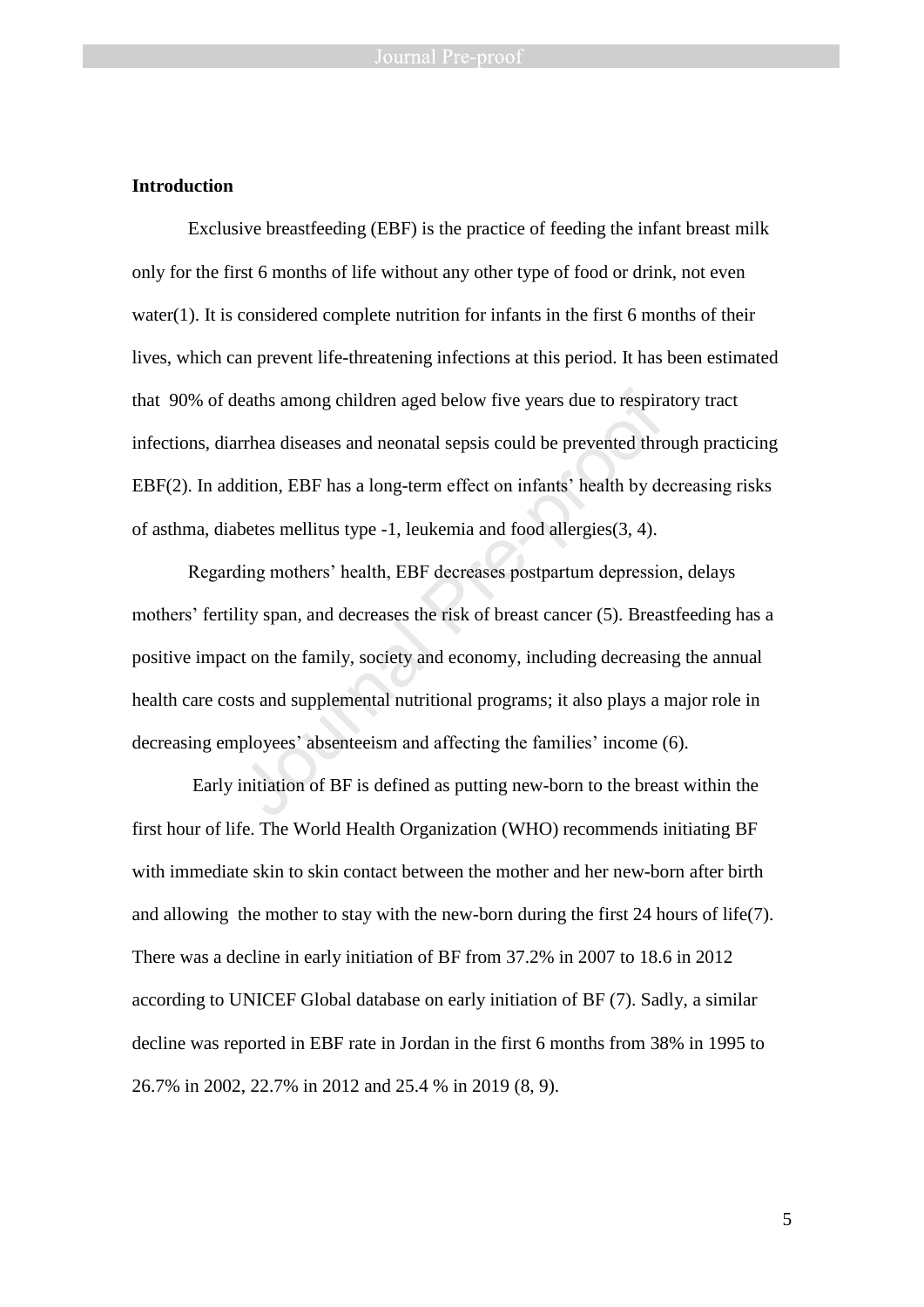# **Introduction**

Exclusive breastfeeding (EBF) is the practice of feeding the infant breast milk only for the first 6 months of life without any other type of food or drink, not even water(1). It is considered complete nutrition for infants in the first 6 months of their lives, which can prevent life-threatening infections at this period. It has been estimated that 90% of deaths among children aged below five years due to respiratory tract infections, diarrhea diseases and neonatal sepsis could be prevented through practicing EBF(2). In addition, EBF has a long-term effect on infants' health by decreasing risks of asthma, diabetes mellitus type -1, leukemia and food allergies(3, 4).

Regarding mothers' health, EBF decreases postpartum depression, delays mothers' fertility span, and decreases the risk of breast cancer (5). Breastfeeding has a positive impact on the family, society and economy, including decreasing the annual health care costs and supplemental nutritional programs; it also plays a major role in decreasing employees' absenteeism and affecting the families' income (6). leaths among children aged below five years due to respiral<br>or expiral and a separation, EBF has a long-term effect on infants' health by de<br>betes mellitus type -1, leukemia and food allergies(3, 4).<br>Aling mothers' health,

Early initiation of BF is defined as putting new-born to the breast within the first hour of life. The World Health Organization (WHO) recommends initiating BF with immediate skin to skin contact between the mother and her new-born after birth and allowing the mother to stay with the new-born during the first 24 hours of life(7). There was a decline in early initiation of BF from 37.2% in 2007 to 18.6 in 2012 according to UNICEF Global database on early initiation of BF (7). Sadly, a similar decline was reported in EBF rate in Jordan in the first 6 months from 38% in 1995 to 26.7% in 2002, 22.7% in 2012 and 25.4 % in 2019 (8, 9).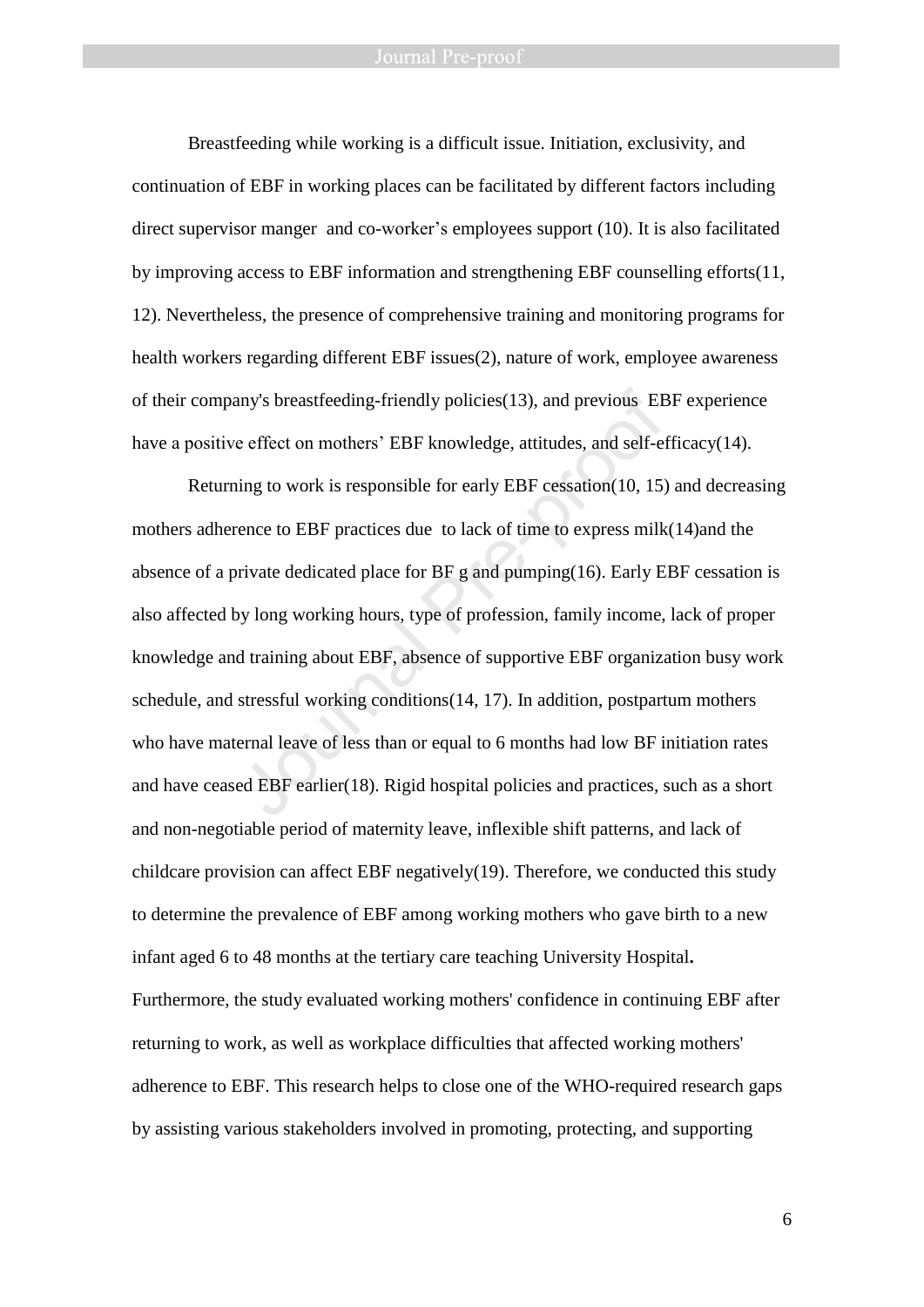Breastfeeding while working is a difficult issue. Initiation, exclusivity, and continuation of EBF in working places can be facilitated by different factors including direct supervisor manger and co-worker's employees support (10). It is also facilitated by improving access to EBF information and strengthening EBF counselling efforts(11, 12). Nevertheless, the presence of comprehensive training and monitoring programs for health workers regarding different EBF issues(2), nature of work, employee awareness of their company's breastfeeding-friendly policies(13), and previous EBF experience have a positive effect on mothers' EBF knowledge, attitudes, and self-efficacy(14).

Returning to work is responsible for early EBF cessation(10, 15) and decreasing mothers adherence to EBF practices due to lack of time to express milk(14)and the absence of a private dedicated place for BF g and pumping(16). Early EBF cessation is also affected by long working hours, type of profession, family income, lack of proper knowledge and training about EBF, absence of supportive EBF organization busy work schedule, and stressful working conditions(14, 17). In addition, postpartum mothers who have maternal leave of less than or equal to 6 months had low BF initiation rates and have ceased EBF earlier(18). Rigid hospital policies and practices, such as a short and non-negotiable period of maternity leave, inflexible shift patterns, and lack of childcare provision can affect EBF negatively(19). Therefore, we conducted this study to determine the prevalence of EBF among working mothers who gave birth to a new infant aged 6 to 48 months at the tertiary care teaching University Hospital**.**  Furthermore, the study evaluated working mothers' confidence in continuing EBF after returning to work, as well as workplace difficulties that affected working mothers' adherence to EBF. This research helps to close one of the WHO-required research gaps by assisting various stakeholders involved in promoting, protecting, and supporting any's breastfeeding-friendly policies(13), and previous EE<br>e effect on mothers' EBF knowledge, attitudes, and self-et<br>ing to work is responsible for early EBF cessation(10, 15)<br>rence to EBF practices due to lack of time to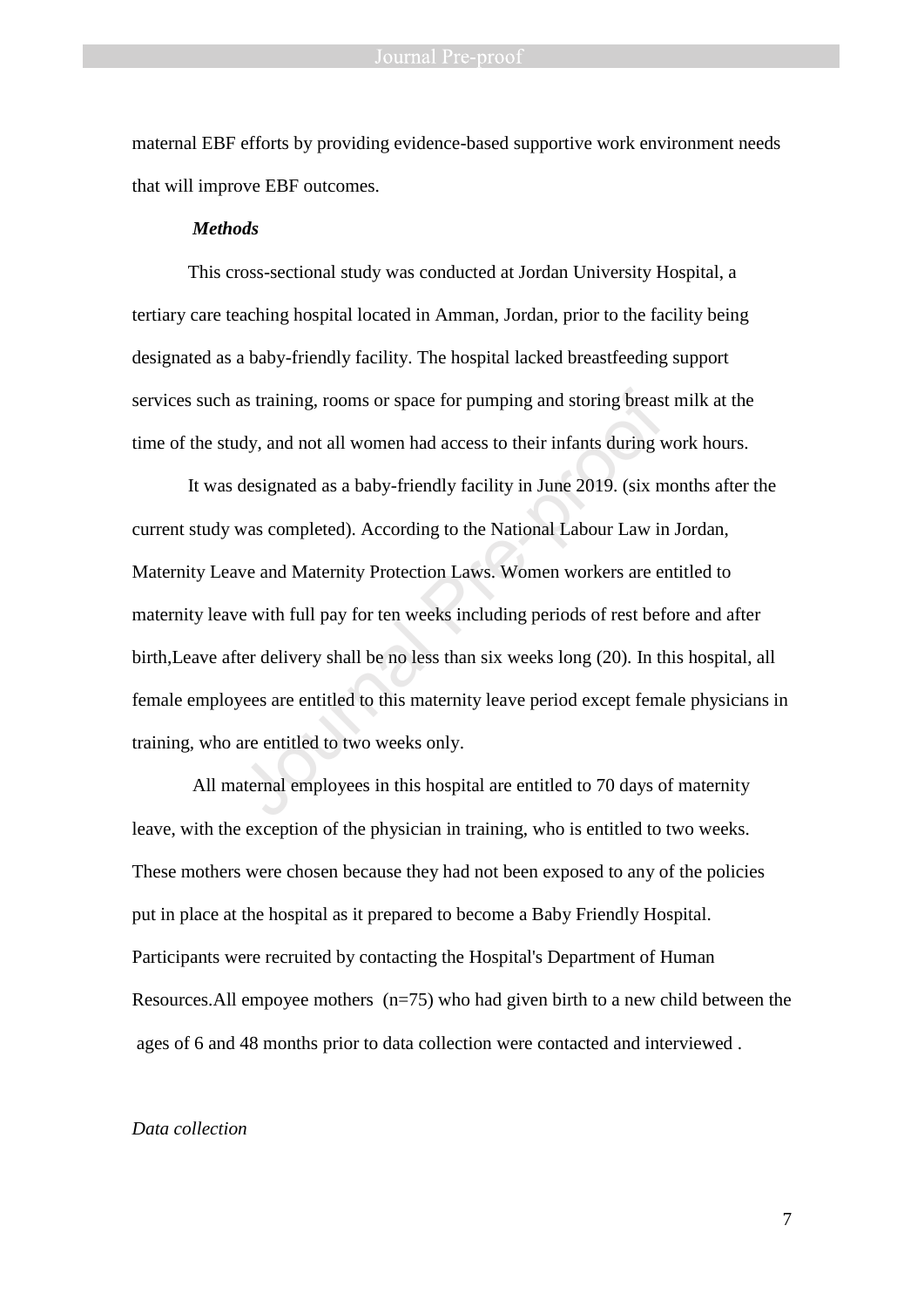maternal EBF efforts by providing evidence-based supportive work environment needs that will improve EBF outcomes.

### *Methods*

This cross-sectional study was conducted at Jordan University Hospital, a tertiary care teaching hospital located in Amman, Jordan, prior to the facility being designated as a baby-friendly facility. The hospital lacked breastfeeding support services such as training, rooms or space for pumping and storing breast milk at the time of the study, and not all women had access to their infants during work hours.

It was designated as a baby-friendly facility in June 2019. (six months after the current study was completed). According to the National Labour Law in Jordan, Maternity Leave and Maternity Protection Laws. Women workers are entitled to maternity leave with full pay for ten weeks including periods of rest before and after birth,Leave after delivery shall be no less than six weeks long (20). In this hospital, all female employees are entitled to this maternity leave period except female physicians in training, who are entitled to two weeks only. as training, rooms or space for pumping and storing breast<br>ady, and not all women had access to their infants during v<br>designated as a baby-friendly facility in June 2019. (six m<br>was completed). According to the National L

All maternal employees in this hospital are entitled to 70 days of maternity leave, with the exception of the physician in training, who is entitled to two weeks. These mothers were chosen because they had not been exposed to any of the policies put in place at the hospital as it prepared to become a Baby Friendly Hospital. Participants were recruited by contacting the Hospital's Department of Human Resources. All empoyee mothers  $(n=75)$  who had given birth to a new child between the ages of 6 and 48 months prior to data collection were contacted and interviewed .

#### *Data collection*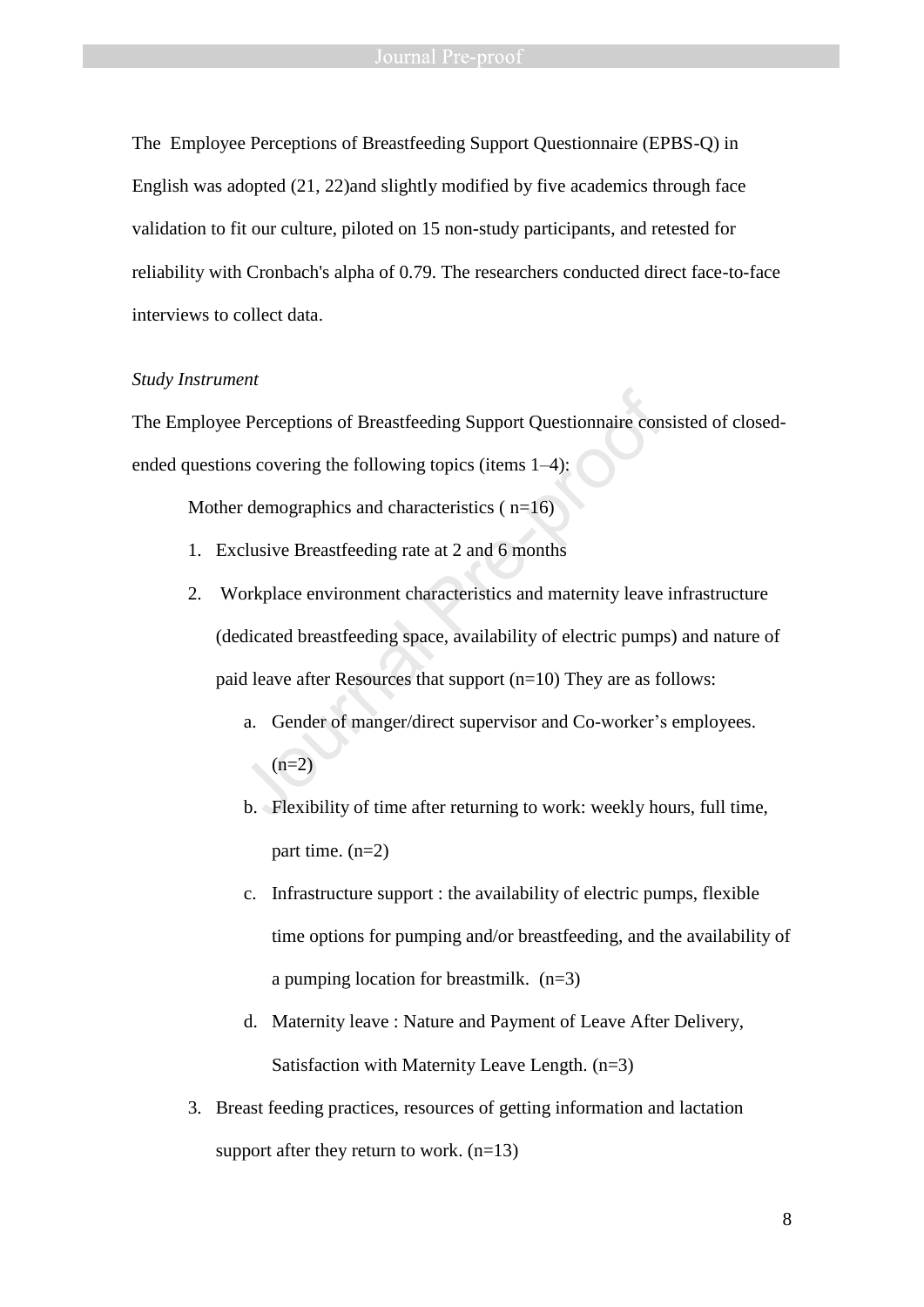#### Journal Pre-proof

The Employee Perceptions of Breastfeeding Support Questionnaire (EPBS-Q) in English was adopted (21, 22)and slightly modified by five academics through face validation to fit our culture, piloted on 15 non-study participants, and retested for reliability with Cronbach's alpha of 0.79. The researchers conducted direct face-to-face interviews to collect data.

#### *Study Instrument*

The Employee Perceptions of Breastfeeding Support Questionnaire consisted of closedended questions covering the following topics (items 1–4):

Mother demographics and characteristics ( $n=16$ )

- 1. Exclusive Breastfeeding rate at 2 and 6 months
- 2. Workplace environment characteristics and maternity leave infrastructure (dedicated breastfeeding space, availability of electric pumps) and nature of paid leave after Resources that support (n=10) They are as follows: Exercutions of Breastfeeding Support Questionnaire consent of Breastfeeding Support Questionnaire consent on Sovering the following topics (items 1–4):<br>
Fre-demographics and characteristics (n=16)<br>
clusive Breastfeeding r
	- a. Gender of manger/direct supervisor and Co-worker's employees.  $(n=2)$
	- b. Flexibility of time after returning to work: weekly hours, full time, part time. (n=2)
	- c. Infrastructure support : the availability of electric pumps, flexible time options for pumping and/or breastfeeding, and the availability of a pumping location for breastmilk. (n=3)
	- d. Maternity leave : Nature and Payment of Leave After Delivery, Satisfaction with Maternity Leave Length. (n=3)
- 3. Breast feeding practices, resources of getting information and lactation support after they return to work.  $(n=13)$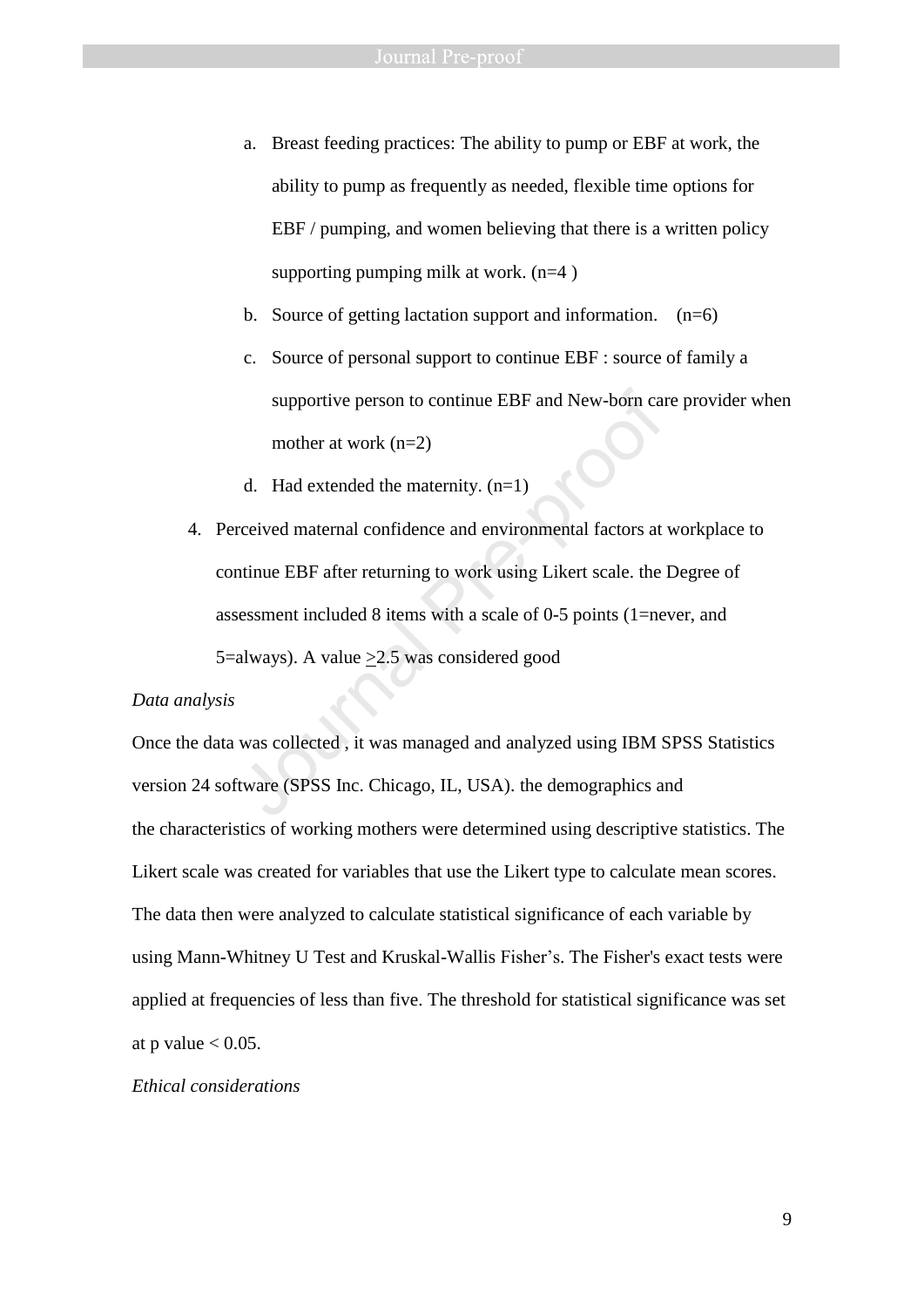- a. Breast feeding practices: The ability to pump or EBF at work, the ability to pump as frequently as needed, flexible time options for EBF / pumping, and women believing that there is a written policy supporting pumping milk at work.  $(n=4)$
- b. Source of getting lactation support and information.  $(n=6)$
- c. Source of personal support to continue EBF : source of family a supportive person to continue EBF and New-born care provider when mother at work (n=2)
- d. Had extended the maternity.  $(n=1)$
- 4. Perceived maternal confidence and environmental factors at workplace to continue EBF after returning to work using Likert scale. the Degree of assessment included 8 items with a scale of 0-5 points (1=never, and 5=always). A value >2.5 was considered good supportive person to continue EBF and New-born can<br>mother at work (n=2)<br>d. Had extended the maternity. (n=1)<br>reeived maternal confidence and environmental factors at<br>ntinue EBF after returning to work using Likert scale.

#### *Data analysis*

Once the data was collected , it was managed and analyzed using IBM SPSS Statistics version 24 software (SPSS Inc. Chicago, IL, USA). the demographics and the characteristics of working mothers were determined using descriptive statistics. The Likert scale was created for variables that use the Likert type to calculate mean scores. The data then were analyzed to calculate statistical significance of each variable by using Mann-Whitney U Test and Kruskal-Wallis Fisher's. The Fisher's exact tests were applied at frequencies of less than five. The threshold for statistical significance was set at p value  $< 0.05$ .

### *Ethical considerations*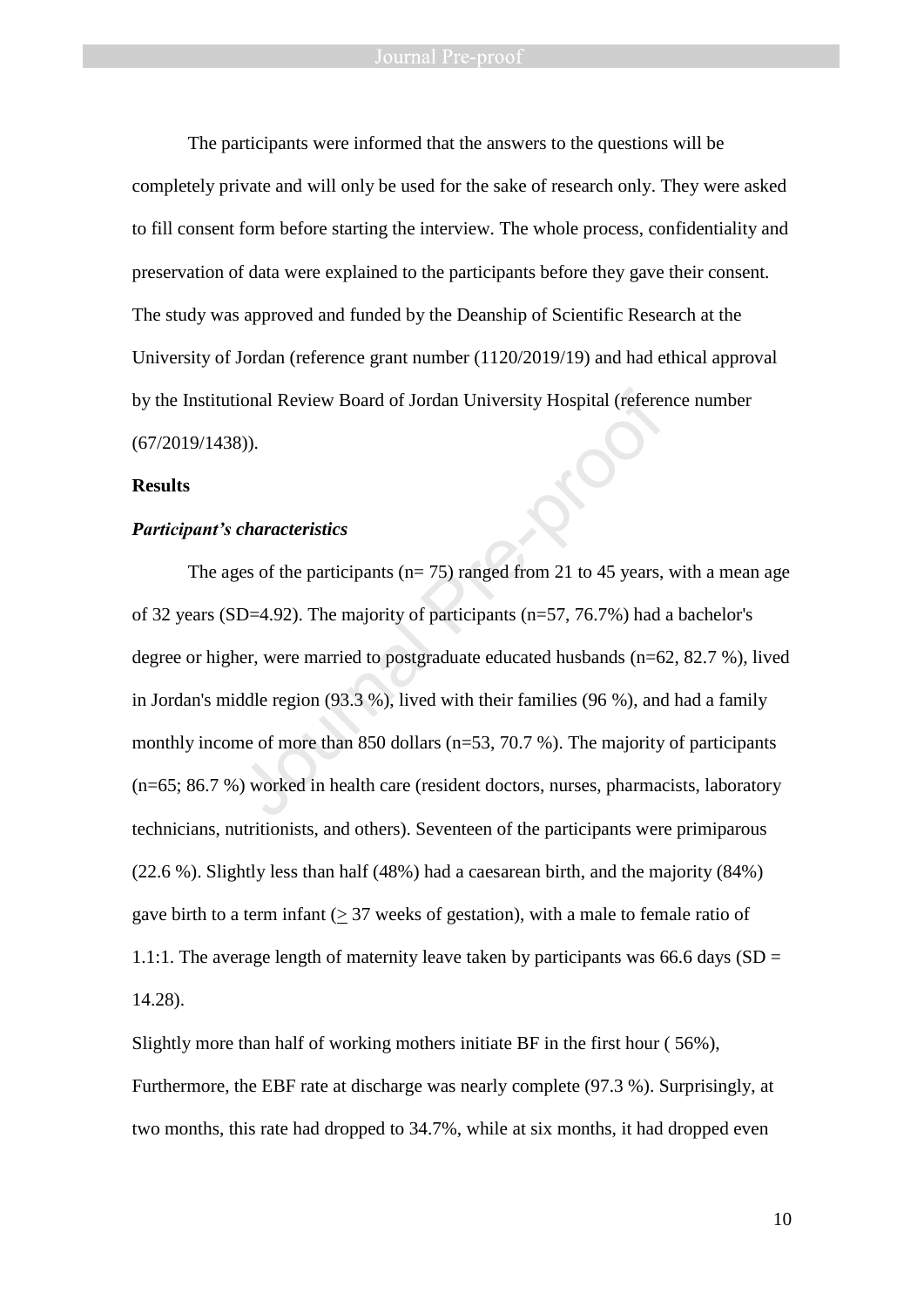The participants were informed that the answers to the questions will be completely private and will only be used for the sake of research only. They were asked to fill consent form before starting the interview. The whole process, confidentiality and preservation of data were explained to the participants before they gave their consent. The study was approved and funded by the Deanship of Scientific Research at the University of Jordan (reference grant number (1120/2019/19) and had ethical approval by the Institutional Review Board of Jordan University Hospital (reference number (67/2019/1438)).

### **Results**

#### *Participant's characteristics*

The ages of the participants ( $n= 75$ ) ranged from 21 to 45 years, with a mean age of 32 years (SD=4.92). The majority of participants (n=57, 76.7%) had a bachelor's degree or higher, were married to postgraduate educated husbands (n=62, 82.7 %), lived in Jordan's middle region (93.3 %), lived with their families (96 %), and had a family monthly income of more than 850 dollars (n=53, 70.7 %). The majority of participants (n=65; 86.7 %) worked in health care (resident doctors, nurses, pharmacists, laboratory technicians, nutritionists, and others). Seventeen of the participants were primiparous (22.6 %). Slightly less than half (48%) had a caesarean birth, and the majority (84%) gave birth to a term infant  $(> 37$  weeks of gestation), with a male to female ratio of 1.1:1. The average length of maternity leave taken by participants was 66.6 days (SD = 14.28). ional Review Board of Jordan University Hospital (referer<br>
3)).<br>
S)).<br>
characteristics<br>
ges of the participants (n= 75) ranged from 21 to 45 years,<br>
D=4.92). The majority of participants (n=57, 76.7%) had<br>
ier, were marrie

Slightly more than half of working mothers initiate BF in the first hour ( 56%), Furthermore, the EBF rate at discharge was nearly complete (97.3 %). Surprisingly, at two months, this rate had dropped to 34.7%, while at six months, it had dropped even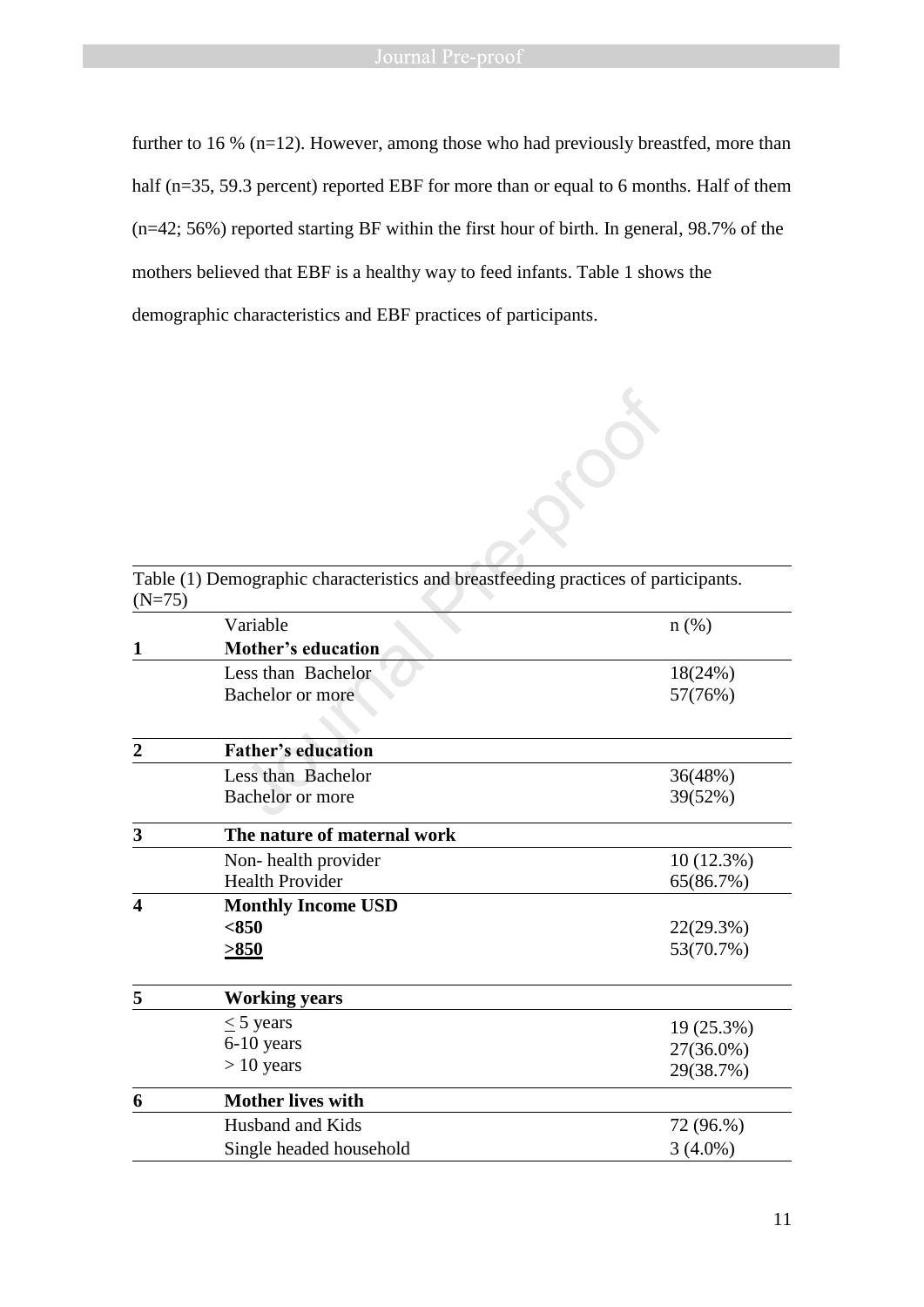further to 16 % (n=12). However, among those who had previously breastfed, more than half (n=35, 59.3 percent) reported EBF for more than or equal to 6 months. Half of them (n=42; 56%) reported starting BF within the first hour of birth. In general, 98.7% of the mothers believed that EBF is a healthy way to feed infants. Table 1 shows the demographic characteristics and EBF practices of participants.

| $(N=75)$       | Table (1) Demographic characteristics and breastfeeding practices of participants. |            |
|----------------|------------------------------------------------------------------------------------|------------|
|                | Variable                                                                           | $n$ (%)    |
| 1              | Mother's education                                                                 |            |
|                | Less than Bachelor                                                                 | 18(24%)    |
|                | Bachelor or more                                                                   | 57(76%)    |
|                |                                                                                    |            |
| $\overline{2}$ | <b>Father's education</b>                                                          |            |
|                | Less than Bachelor                                                                 | 36(48%)    |
|                | <b>Bachelor</b> or more                                                            | 39(52%)    |
| 3              | The nature of maternal work                                                        |            |
|                | Non-health provider                                                                | 10(12.3%)  |
|                | <b>Health Provider</b>                                                             | 65(86.7%)  |
| 4              | <b>Monthly Income USD</b>                                                          |            |
|                | < 850                                                                              | 22(29.3%)  |
|                | >850                                                                               | 53(70.7%)  |
| 5              | <b>Working years</b>                                                               |            |
|                | $\leq$ 5 years                                                                     | 19 (25.3%) |
|                | 6-10 years                                                                         | 27(36.0%)  |
|                | $> 10$ years                                                                       | 29(38.7%)  |
| 6              | <b>Mother lives with</b>                                                           |            |
|                | Husband and Kids                                                                   | 72 (96.%)  |
|                | Single headed household                                                            | $3(4.0\%)$ |
|                |                                                                                    |            |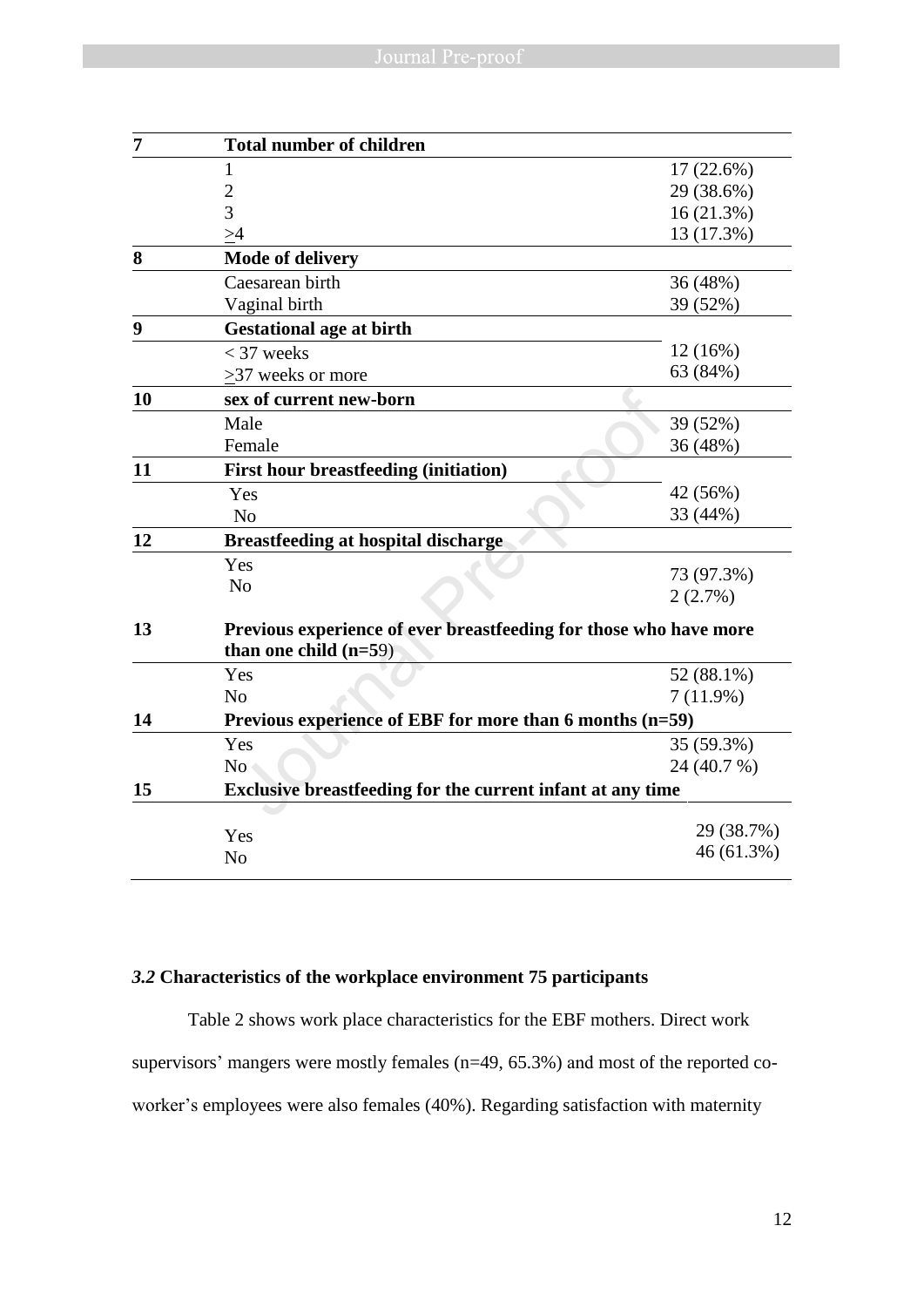| $\overline{7}$ | <b>Total number of children</b>                                   |             |
|----------------|-------------------------------------------------------------------|-------------|
|                | 1                                                                 | 17 (22.6%)  |
|                | $\overline{2}$                                                    | 29 (38.6%)  |
|                | $\overline{3}$                                                    | 16(21.3%)   |
|                | >4                                                                | 13 (17.3%)  |
| 8              | <b>Mode of delivery</b>                                           |             |
|                | Caesarean birth                                                   | 36 (48%)    |
|                | Vaginal birth                                                     | 39 (52%)    |
| 9              | <b>Gestational age at birth</b>                                   |             |
|                | $<$ 37 weeks                                                      | 12 (16%)    |
|                | >37 weeks or more                                                 | 63 (84%)    |
| 10             | sex of current new-born                                           |             |
|                | Male                                                              | 39 (52%)    |
|                | Female                                                            | 36 (48%)    |
| 11             | <b>First hour breastfeeding (initiation)</b>                      |             |
|                | Yes                                                               | 42 (56%)    |
|                | N <sub>0</sub>                                                    | 33 (44%)    |
| 12             | <b>Breastfeeding at hospital discharge</b>                        |             |
|                | Yes                                                               | 73 (97.3%)  |
|                | N <sub>o</sub>                                                    | 2(2.7%)     |
| 13             | Previous experience of ever breastfeeding for those who have more |             |
|                | than one child $(n=59)$                                           |             |
|                | Yes                                                               | 52 (88.1%)  |
|                | N <sub>o</sub>                                                    | 7(11.9%)    |
| 14             | Previous experience of EBF for more than 6 months (n=59)          |             |
|                | Yes                                                               | 35 (59.3%)  |
|                | N <sub>o</sub>                                                    | 24 (40.7 %) |
| 15             | Exclusive breastfeeding for the current infant at any time        |             |
|                |                                                                   | 29 (38.7%)  |
|                | Yes                                                               | 46 (61.3%)  |
|                | No                                                                |             |

# *3.2* **Characteristics of the workplace environment 75 participants**

Table 2 shows work place characteristics for the EBF mothers. Direct work supervisors' mangers were mostly females (n=49, 65.3%) and most of the reported coworker's employees were also females (40%). Regarding satisfaction with maternity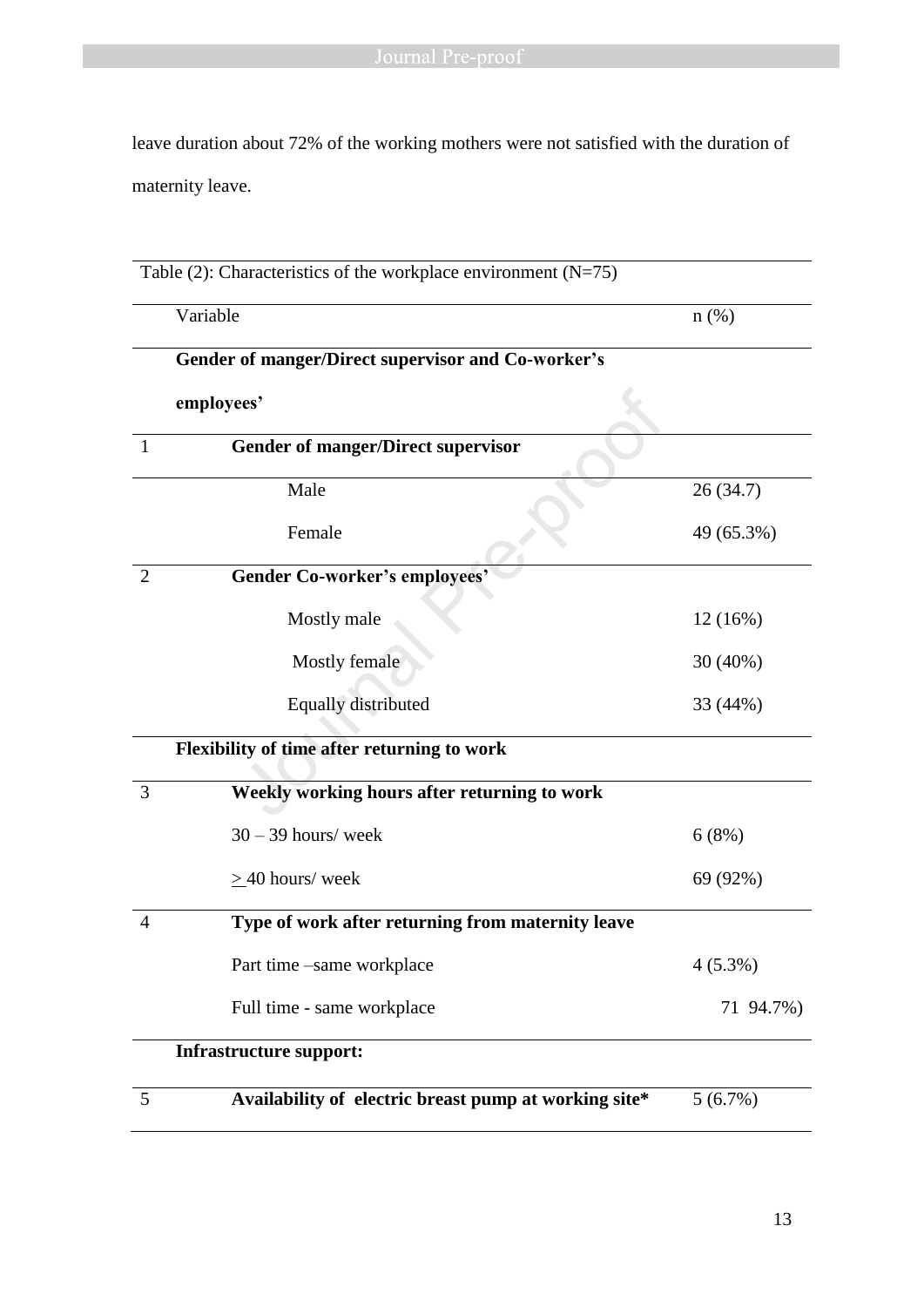leave duration about 72% of the working mothers were not satisfied with the duration of maternity leave.

|                | Table (2): Characteristics of the workplace environment $(N=75)$ |            |  |
|----------------|------------------------------------------------------------------|------------|--|
|                | Variable                                                         | $n$ (%)    |  |
|                | Gender of manger/Direct supervisor and Co-worker's               |            |  |
|                | employees'                                                       |            |  |
| $\mathbf{1}$   | <b>Gender of manger/Direct supervisor</b>                        |            |  |
|                | Male                                                             | 26(34.7)   |  |
|                | Female                                                           | 49 (65.3%) |  |
| 2              | <b>Gender Co-worker's employees'</b>                             |            |  |
|                | Mostly male                                                      | 12 (16%)   |  |
|                | Mostly female                                                    | 30 (40%)   |  |
|                | Equally distributed                                              | 33 (44%)   |  |
|                | Flexibility of time after returning to work                      |            |  |
| 3              | Weekly working hours after returning to work                     |            |  |
|                | $30 - 39$ hours/ week                                            | 6(8%)      |  |
|                | $\geq$ 40 hours/ week                                            | 69 (92%)   |  |
| $\overline{4}$ | Type of work after returning from maternity leave                |            |  |
|                | Part time -same workplace                                        | $4(5.3\%)$ |  |
|                | Full time - same workplace                                       | 71 94.7%)  |  |
|                | <b>Infrastructure support:</b>                                   |            |  |
| 5              | Availability of electric breast pump at working site*            | 5(6.7%)    |  |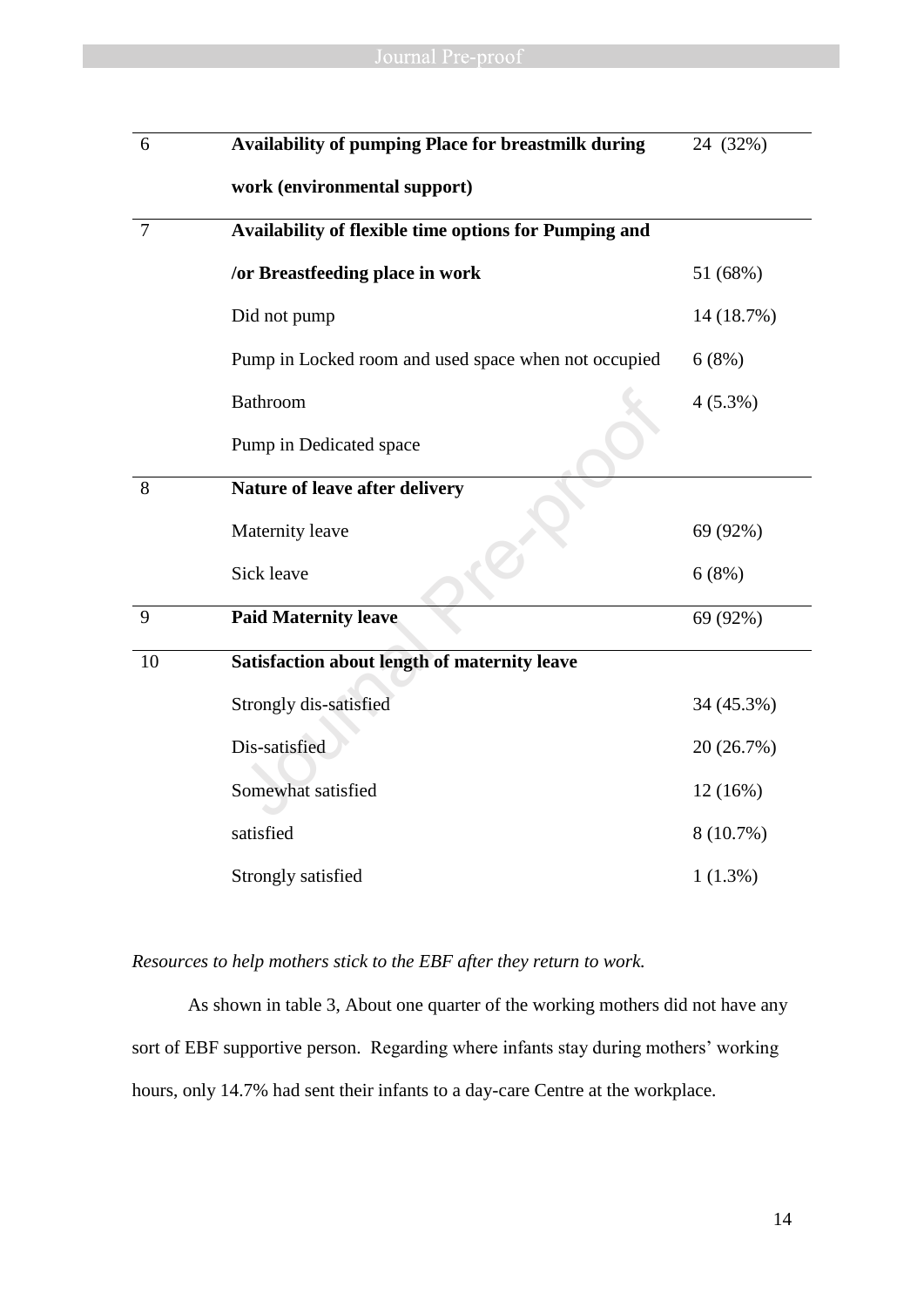| 6              | Availability of pumping Place for breastmilk during   | 24 (32%)    |
|----------------|-------------------------------------------------------|-------------|
|                | work (environmental support)                          |             |
| $\overline{7}$ | Availability of flexible time options for Pumping and |             |
|                | /or Breastfeeding place in work                       | 51 (68%)    |
|                | Did not pump                                          | 14 (18.7%)  |
|                | Pump in Locked room and used space when not occupied  | 6(8%)       |
|                | <b>Bathroom</b>                                       | $4(5.3\%)$  |
|                | Pump in Dedicated space                               |             |
| 8              | Nature of leave after delivery                        |             |
|                | Maternity leave                                       | 69 (92%)    |
|                | Sick leave                                            | 6(8%)       |
| 9              | <b>Paid Maternity leave</b>                           | 69 (92%)    |
| 10             | Satisfaction about length of maternity leave          |             |
|                | Strongly dis-satisfied                                | 34 (45.3%)  |
|                | Dis-satisfied                                         | 20 (26.7%)  |
|                | Somewhat satisfied                                    | 12 (16%)    |
|                | satisfied                                             | $8(10.7\%)$ |
|                | Strongly satisfied                                    | 1(1.3%)     |

*Resources to help mothers stick to the EBF after they return to work.*

As shown in table 3, About one quarter of the working mothers did not have any sort of EBF supportive person. Regarding where infants stay during mothers' working hours, only 14.7% had sent their infants to a day-care Centre at the workplace.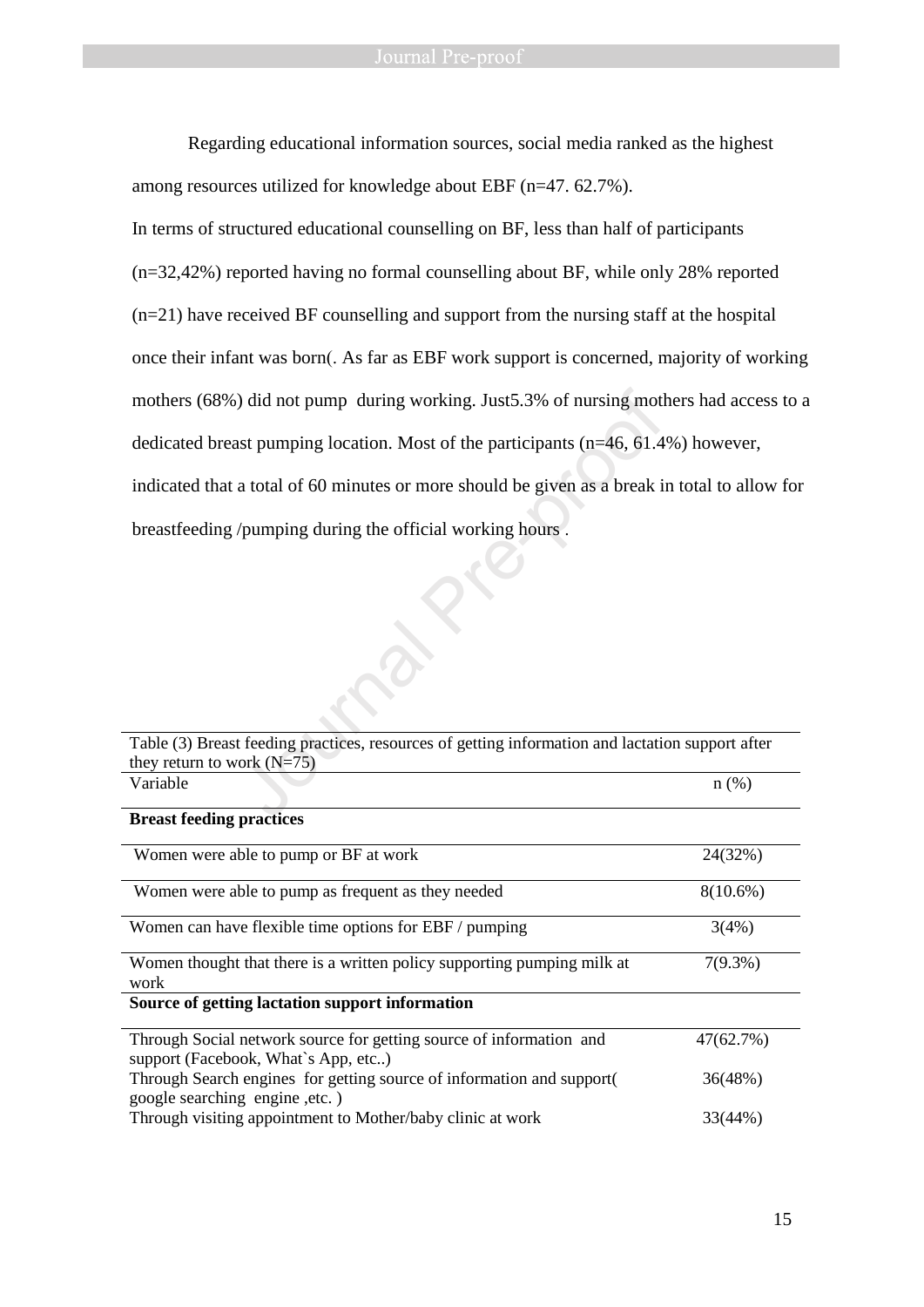Regarding educational information sources, social media ranked as the highest among resources utilized for knowledge about EBF (n=47. 62.7%).

In terms of structured educational counselling on BF, less than half of participants (n=32,42%) reported having no formal counselling about BF, while only 28% reported (n=21) have received BF counselling and support from the nursing staff at the hospital once their infant was born(. As far as EBF work support is concerned, majority of working mothers (68%) did not pump during working. Just5.3% of nursing mothers had access to a dedicated breast pumping location. Most of the participants (n=46, 61.4%) however, indicated that a total of 60 minutes or more should be given as a break in total to allow for breastfeeding /pumping during the official working hours . %) did not pump during working. Just5.3% of nursing moth<br>ast pumping location. Most of the participants (n=46, 61.4<br>a total of 60 minutes or more should be given as a break is<br>/pumping during the official working hours .<br>

| Table (3) Breast feeding practices, resources of getting information and lactation support after           |             |
|------------------------------------------------------------------------------------------------------------|-------------|
| they return to work $(N=75)$                                                                               |             |
| Variable                                                                                                   | n(%)        |
|                                                                                                            |             |
| <b>Breast feeding practices</b>                                                                            |             |
| Women were able to pump or BF at work                                                                      | 24(32%)     |
| Women were able to pump as frequent as they needed                                                         | $8(10.6\%)$ |
| Women can have flexible time options for EBF / pumping                                                     | 3(4%)       |
| Women thought that there is a written policy supporting pumping milk at<br>work                            | $7(9.3\%)$  |
| Source of getting lactation support information                                                            |             |
| Through Social network source for getting source of information and<br>support (Facebook, What's App, etc) | 47(62.7%)   |
| Through Search engines for getting source of information and support (<br>google searching engine, etc.)   | 36(48%)     |
| Through visiting appointment to Mother/baby clinic at work                                                 | 33(44%)     |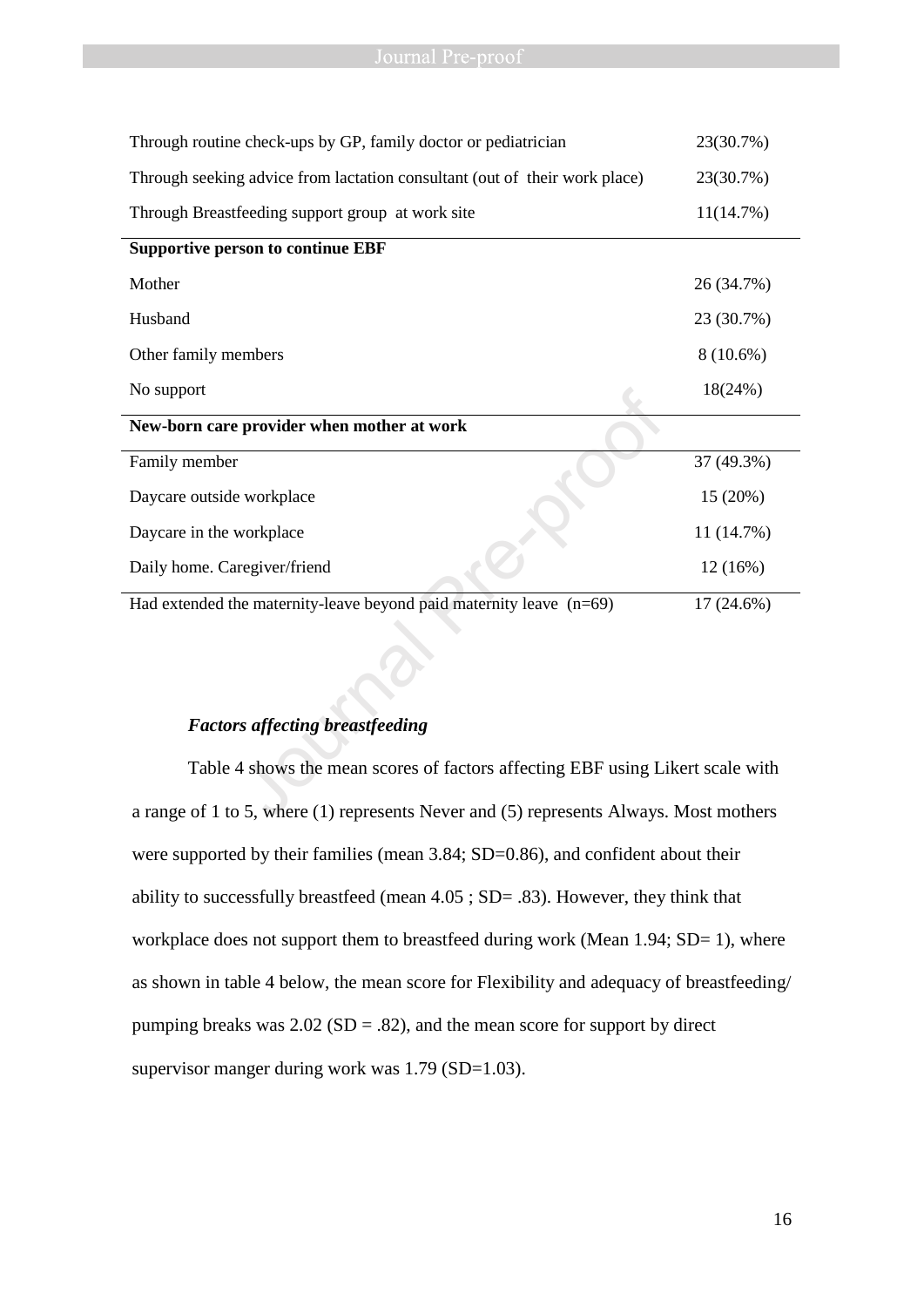| Journal Pre-proof                                                                     |             |
|---------------------------------------------------------------------------------------|-------------|
|                                                                                       |             |
|                                                                                       |             |
| Through routine check-ups by GP, family doctor or pediatrician                        | 23(30.7%)   |
| Through seeking advice from lactation consultant (out of their work place)            | 23(30.7%)   |
| Through Breastfeeding support group at work site                                      | 11(14.7%)   |
| <b>Supportive person to continue EBF</b>                                              |             |
| Mother                                                                                | 26 (34.7%)  |
| Husband                                                                               | 23 (30.7%)  |
| Other family members                                                                  | $8(10.6\%)$ |
| No support                                                                            | 18(24%)     |
| New-born care provider when mother at work                                            |             |
| Family member                                                                         | 37 (49.3%)  |
| Daycare outside workplace                                                             | 15(20%)     |
| Daycare in the workplace                                                              | 11 (14.7%)  |
| Daily home. Caregiver/friend                                                          | 12(16%)     |
| Had extended the maternity-leave beyond paid maternity leave (n=69)                   | 17 (24.6%)  |
|                                                                                       |             |
|                                                                                       |             |
|                                                                                       |             |
| <b>Factors affecting breastfeeding</b>                                                |             |
| Table 4 shows the mean scores of factors affecting EBF using Likert scale with        |             |
| a range of 1 to 5, where (1) represents Never and (5) represents Always. Most mothers |             |

# *Factors affecting breastfeeding*

Table 4 shows the mean scores of factors affecting EBF using Likert scale with a range of 1 to 5, where (1) represents Never and (5) represents Always. Most mothers were supported by their families (mean 3.84; SD=0.86), and confident about their ability to successfully breastfeed (mean 4.05 ; SD= .83). However, they think that workplace does not support them to breastfeed during work (Mean 1.94; SD= 1), where as shown in table 4 below, the mean score for Flexibility and adequacy of breastfeeding/ pumping breaks was  $2.02$  (SD = .82), and the mean score for support by direct supervisor manger during work was 1.79 (SD=1.03).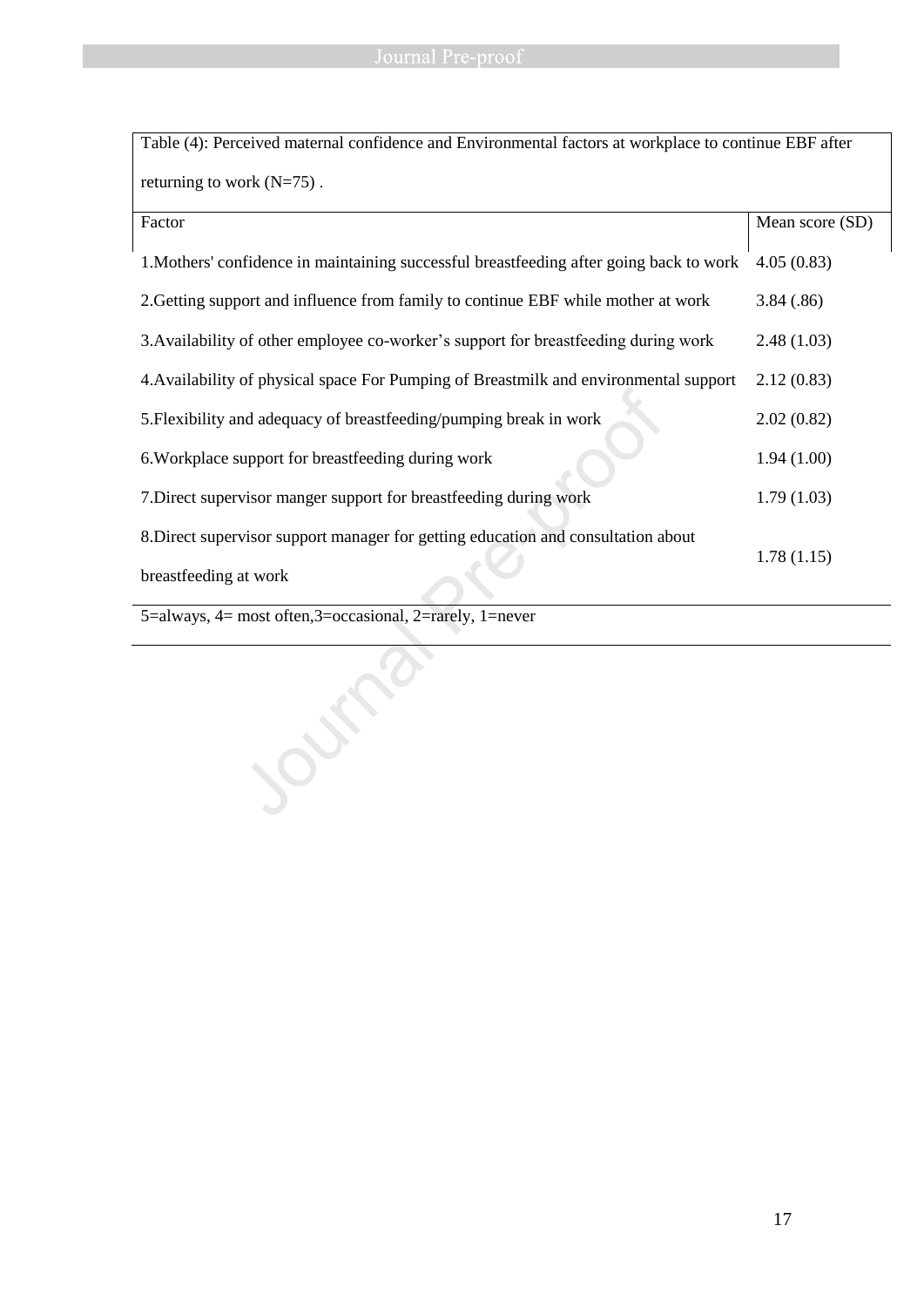| Table (4): Perceived maternal confidence and Environmental factors at workplace to continue EBF after |                 |  |
|-------------------------------------------------------------------------------------------------------|-----------------|--|
| returning to work $(N=75)$ .                                                                          |                 |  |
| Factor                                                                                                | Mean score (SD) |  |
| 1. Mothers' confidence in maintaining successful breastfeeding after going back to work               | 4.05(0.83)      |  |
| 2. Getting support and influence from family to continue EBF while mother at work                     | 3.84(.86)       |  |
| 3. Availability of other employee co-worker's support for breastfeeding during work                   | 2.48(1.03)      |  |
| 4. Availability of physical space For Pumping of Breastmilk and environmental support                 | 2.12(0.83)      |  |
| 5. Flexibility and adequacy of breastfeeding/pumping break in work                                    | 2.02(0.82)      |  |
| 6. Workplace support for breastfeeding during work                                                    | 1.94(1.00)      |  |
| 7. Direct supervisor manger support for breastfeeding during work                                     | 1.79(1.03)      |  |
| 8. Direct supervisor support manager for getting education and consultation about                     | 1.78(1.15)      |  |
| breastfeeding at work                                                                                 |                 |  |
| 5=always, 4= most often,3=occasional, 2=rarely, 1=never                                               |                 |  |
|                                                                                                       |                 |  |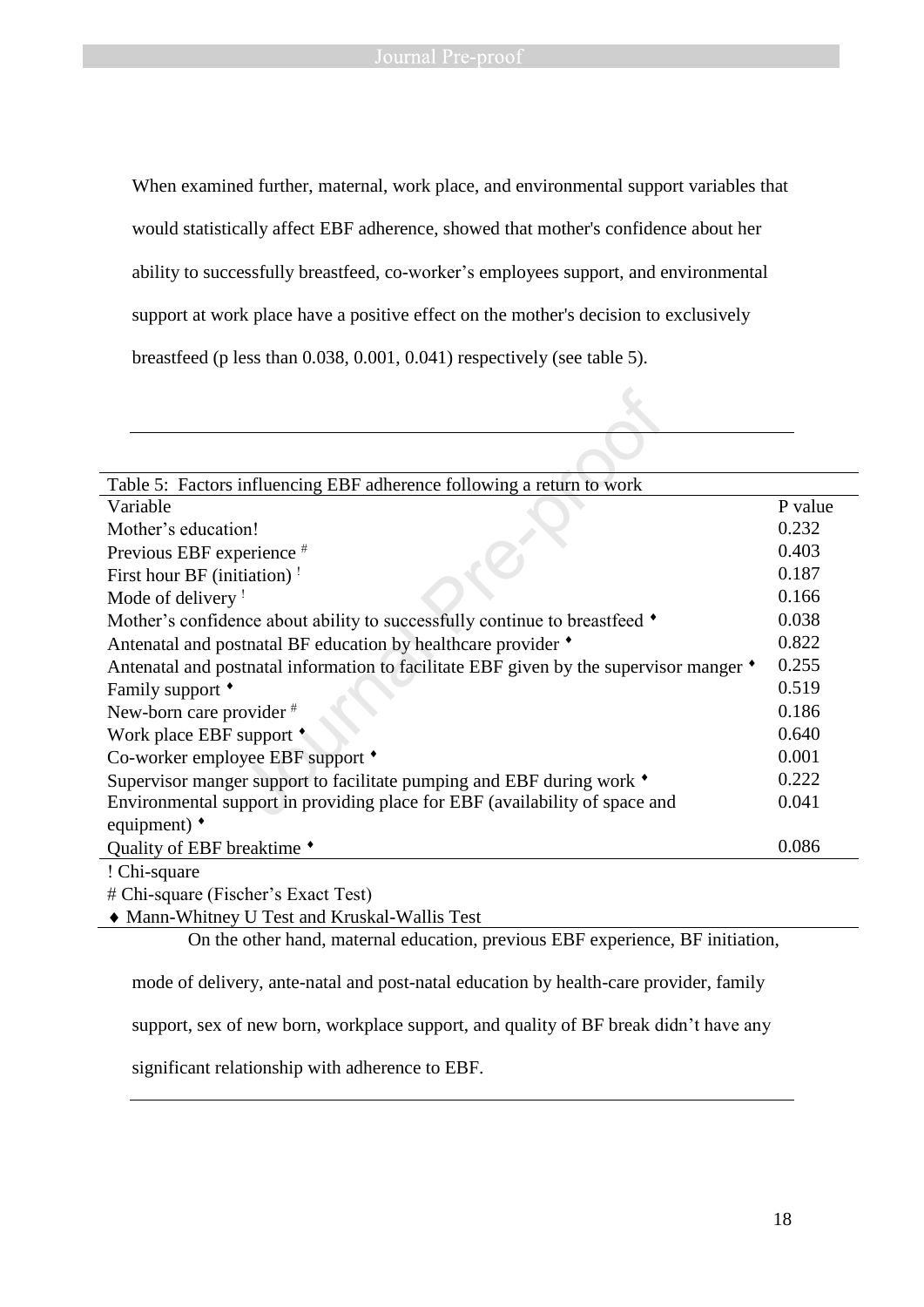When examined further, maternal, work place, and environmental support variables that

would statistically affect EBF adherence, showed that mother's confidence about her

ability to successfully breastfeed, co-worker's employees support, and environmental

support at work place have a positive effect on the mother's decision to exclusively

breastfeed (p less than 0.038, 0.001, 0.041) respectively (see table 5).

| Table 5: Factors influencing EBF adherence following a return to work                                                                                                                                                                                                                                                                                                                |         |
|--------------------------------------------------------------------------------------------------------------------------------------------------------------------------------------------------------------------------------------------------------------------------------------------------------------------------------------------------------------------------------------|---------|
| Variable                                                                                                                                                                                                                                                                                                                                                                             | P value |
| Mother's education!                                                                                                                                                                                                                                                                                                                                                                  | 0.232   |
| Previous EBF experience $#$                                                                                                                                                                                                                                                                                                                                                          | 0.403   |
| First hour BF (initiation) !                                                                                                                                                                                                                                                                                                                                                         | 0.187   |
| Mode of delivery !                                                                                                                                                                                                                                                                                                                                                                   | 0.166   |
| Mother's confidence about ability to successfully continue to breastfeed $\bullet$                                                                                                                                                                                                                                                                                                   | 0.038   |
| Antenatal and postnatal BF education by healthcare provider $\bullet$                                                                                                                                                                                                                                                                                                                | 0.822   |
| Antenatal and postnatal information to facilitate EBF given by the supervisor manger $\bullet$                                                                                                                                                                                                                                                                                       | 0.255   |
| Family support *                                                                                                                                                                                                                                                                                                                                                                     | 0.519   |
| New-born care provider #                                                                                                                                                                                                                                                                                                                                                             | 0.186   |
| Work place EBF support *                                                                                                                                                                                                                                                                                                                                                             | 0.640   |
| Co-worker employee EBF support $\bullet$                                                                                                                                                                                                                                                                                                                                             | 0.001   |
| Supervisor manger support to facilitate pumping and EBF during work $\bullet$                                                                                                                                                                                                                                                                                                        | 0.222   |
| Environmental support in providing place for EBF (availability of space and                                                                                                                                                                                                                                                                                                          | 0.041   |
| equipment) $\bullet$                                                                                                                                                                                                                                                                                                                                                                 |         |
| Quality of EBF breaktime $\bullet$                                                                                                                                                                                                                                                                                                                                                   | 0.086   |
| $\overline{1}$ $\overline{1}$ $\overline{2}$ $\overline{3}$ $\overline{2}$ $\overline{3}$ $\overline{2}$ $\overline{3}$ $\overline{3}$ $\overline{4}$ $\overline{2}$ $\overline{3}$ $\overline{3}$ $\overline{4}$ $\overline{2}$ $\overline{3}$ $\overline{4}$ $\overline{2}$ $\overline{3}$ $\overline{4}$ $\overline{2}$ $\overline{3}$ $\overline{4}$ $\overline{2}$ $\overline{$ |         |

Chi-square

Chi-square (Fischer's Exact Test)

Mann-Whitney U Test and Kruskal-Wallis Test

On the other hand, maternal education, previous EBF experience, BF initiation,

mode of delivery, ante-natal and post-natal education by health-care provider, family

support, sex of new born, workplace support, and quality of BF break didn't have any

significant relationship with adherence to EBF.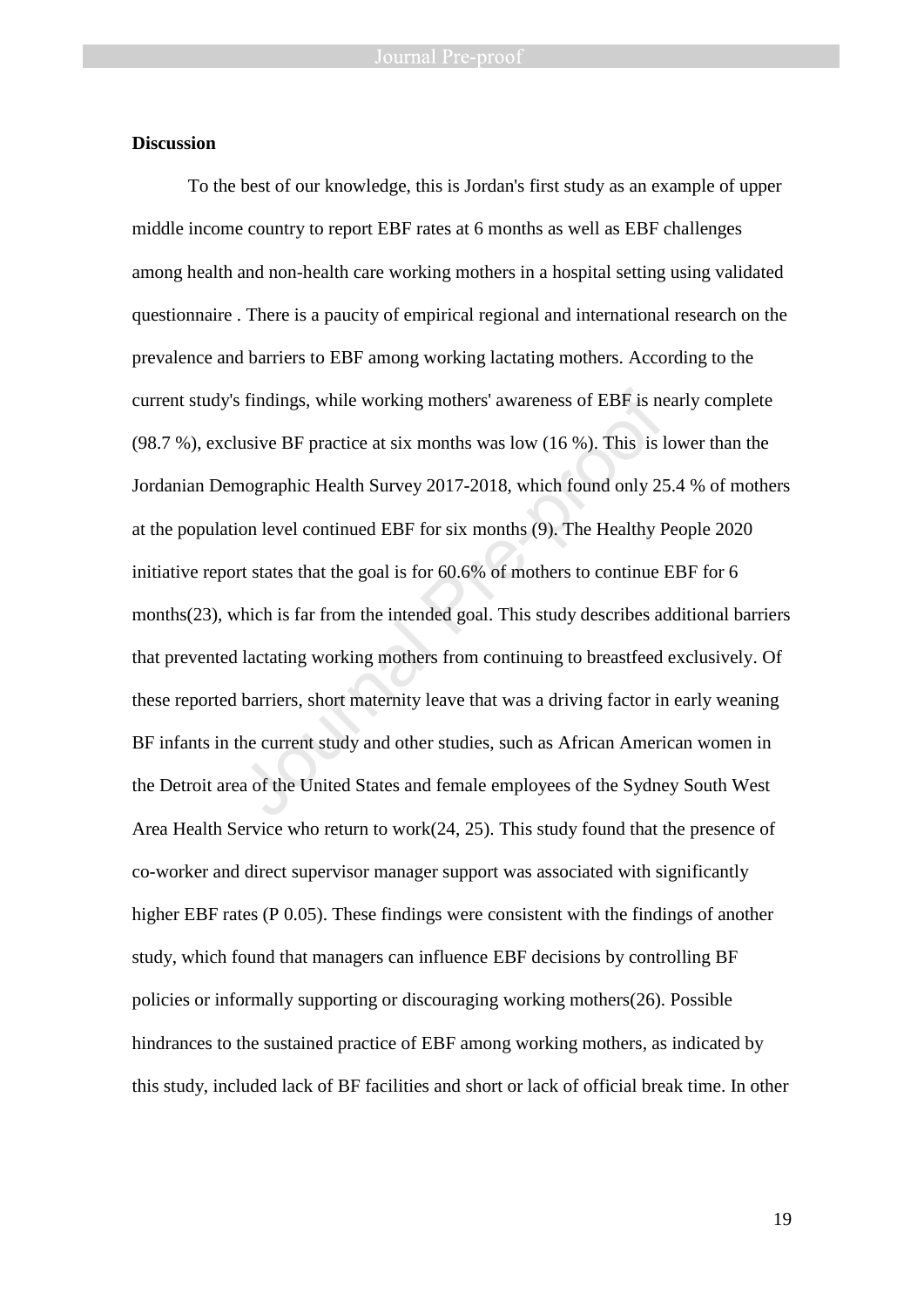#### **Discussion**

To the best of our knowledge, this is Jordan's first study as an example of upper middle income country to report EBF rates at 6 months as well as EBF challenges among health and non-health care working mothers in a hospital setting using validated questionnaire . There is a paucity of empirical regional and international research on the prevalence and barriers to EBF among working lactating mothers. According to the current study's findings, while working mothers' awareness of EBF is nearly complete (98.7 %), exclusive BF practice at six months was low (16 %). This is lower than the Jordanian Demographic Health Survey 2017-2018, which found only 25.4 % of mothers at the population level continued EBF for six months (9). The Healthy People 2020 initiative report states that the goal is for 60.6% of mothers to continue EBF for 6 months(23), which is far from the intended goal. This study describes additional barriers that prevented lactating working mothers from continuing to breastfeed exclusively. Of these reported barriers, short maternity leave that was a driving factor in early weaning BF infants in the current study and other studies, such as African American women in the Detroit area of the United States and female employees of the Sydney South West Area Health Service who return to work(24, 25). This study found that the presence of co-worker and direct supervisor manager support was associated with significantly higher EBF rates (P 0.05). These findings were consistent with the findings of another study, which found that managers can influence EBF decisions by controlling BF policies or informally supporting or discouraging working mothers(26). Possible hindrances to the sustained practice of EBF among working mothers, as indicated by this study, included lack of BF facilities and short or lack of official break time. In other is findings, while working mothers' awareness of EBF is ne<br>
usive BF practice at six months was low (16 %). This is 1<br>
mographic Health Survey 2017-2018, which found only 25<br>
ion level continued EBF for six months (9). The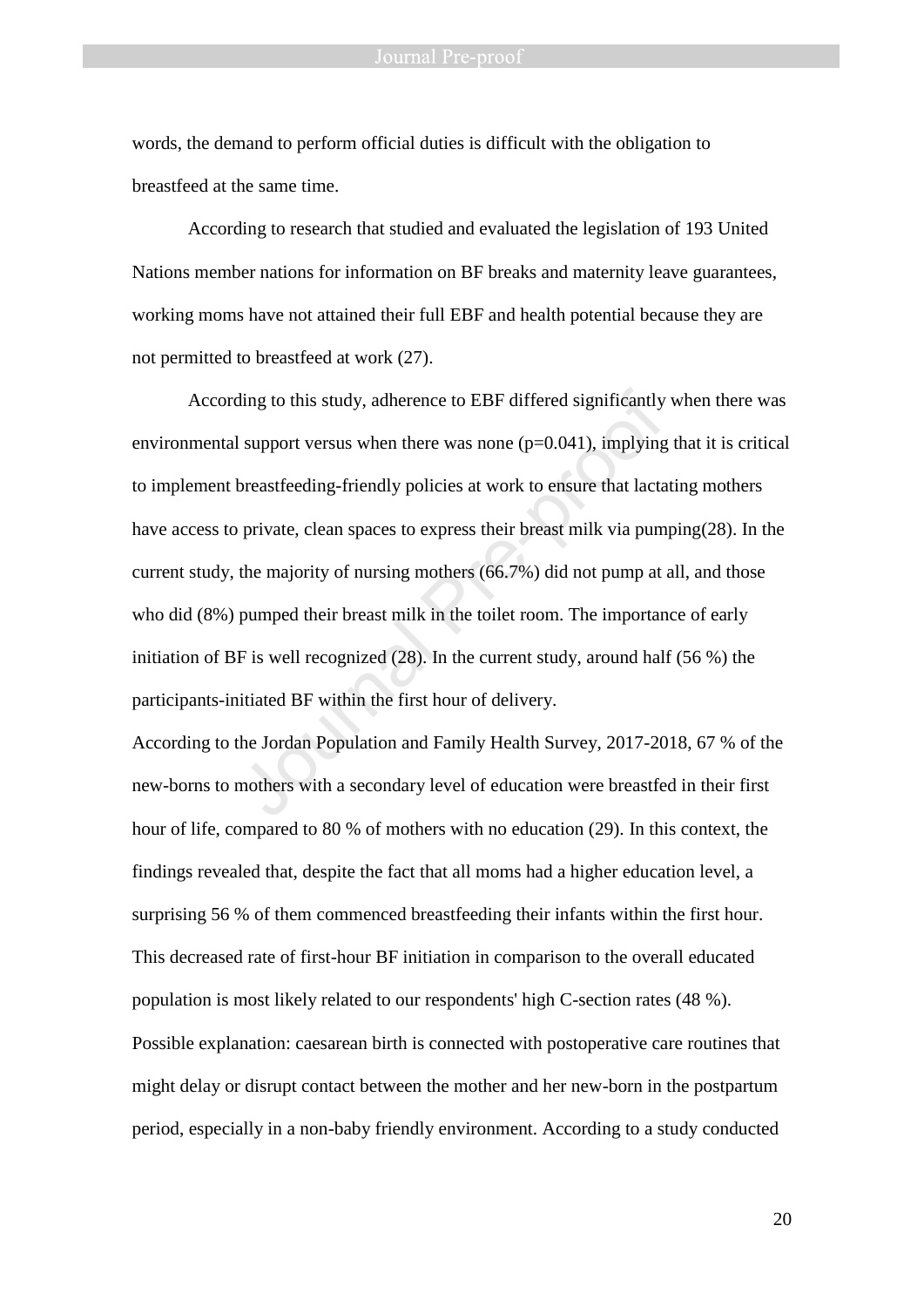words, the demand to perform official duties is difficult with the obligation to breastfeed at the same time.

According to research that studied and evaluated the legislation of 193 United Nations member nations for information on BF breaks and maternity leave guarantees, working moms have not attained their full EBF and health potential because they are not permitted to breastfeed at work (27).

According to this study, adherence to EBF differed significantly when there was environmental support versus when there was none  $(p=0.041)$ , implying that it is critical to implement breastfeeding-friendly policies at work to ensure that lactating mothers have access to private, clean spaces to express their breast milk via pumping(28). In the current study, the majority of nursing mothers (66.7%) did not pump at all, and those who did (8%) pumped their breast milk in the toilet room. The importance of early initiation of BF is well recognized (28). In the current study, around half (56 %) the participants-initiated BF within the first hour of delivery. ding to this study, adherence to EBF differed significantly<br>
I support versus when there was none (p=0.041), implying<br>
breastfeeding-friendly policies at work to ensure that lacta<br>
private, clean spaces to express their b

According to the Jordan Population and Family Health Survey, 2017-2018, 67 % of the new-borns to mothers with a secondary level of education were breastfed in their first hour of life, compared to 80 % of mothers with no education (29). In this context, the findings revealed that, despite the fact that all moms had a higher education level, a surprising 56 % of them commenced breastfeeding their infants within the first hour. This decreased rate of first-hour BF initiation in comparison to the overall educated population is most likely related to our respondents' high C-section rates (48 %). Possible explanation: caesarean birth is connected with postoperative care routines that might delay or disrupt contact between the mother and her new-born in the postpartum period, especially in a non-baby friendly environment. According to a study conducted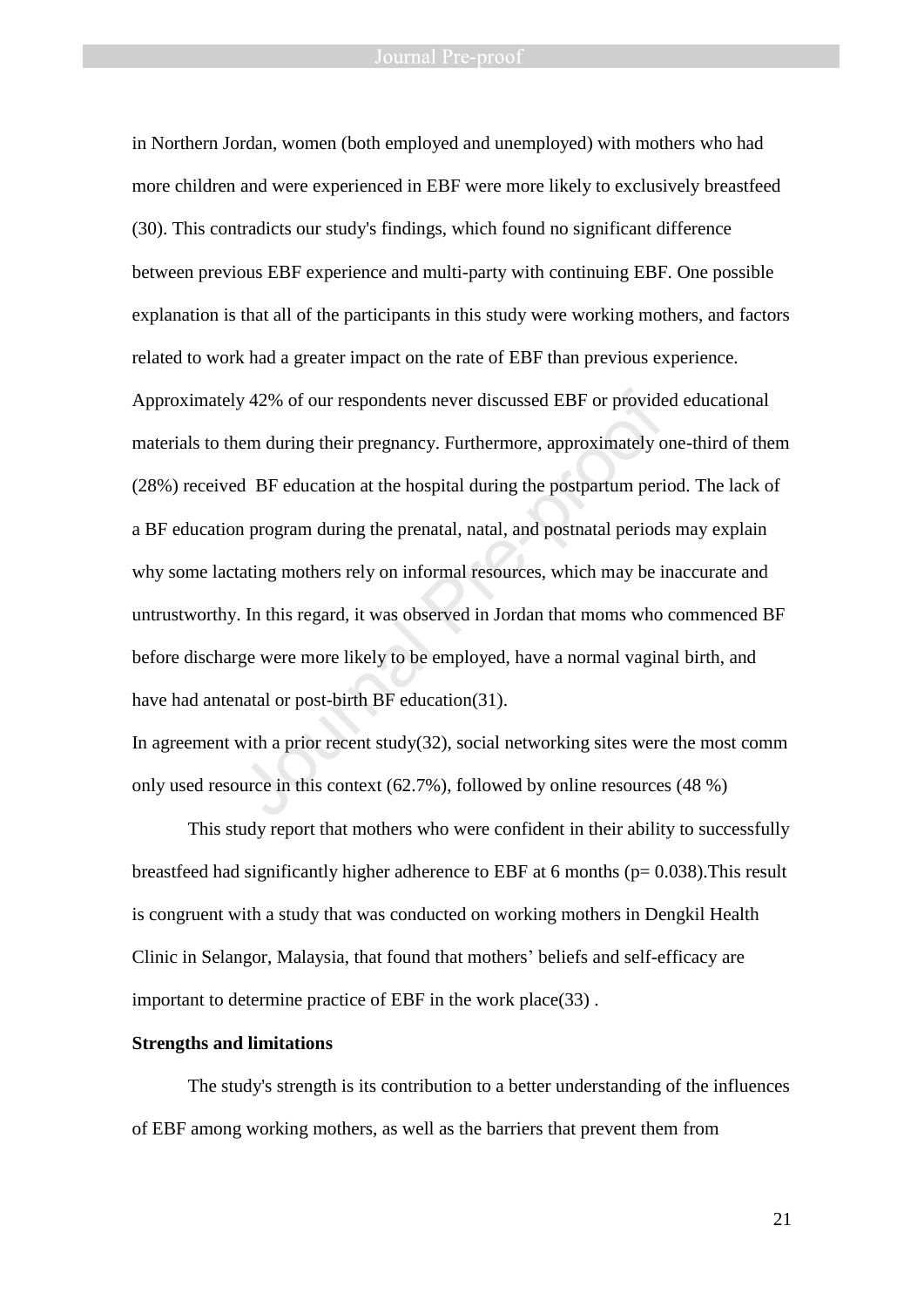in Northern Jordan, women (both employed and unemployed) with mothers who had more children and were experienced in EBF were more likely to exclusively breastfeed (30). This contradicts our study's findings, which found no significant difference between previous EBF experience and multi-party with continuing EBF. One possible explanation is that all of the participants in this study were working mothers, and factors related to work had a greater impact on the rate of EBF than previous experience. Approximately 42% of our respondents never discussed EBF or provided educational materials to them during their pregnancy. Furthermore, approximately one-third of them (28%) received BF education at the hospital during the postpartum period. The lack of a BF education program during the prenatal, natal, and postnatal periods may explain why some lactating mothers rely on informal resources, which may be inaccurate and untrustworthy. In this regard, it was observed in Jordan that moms who commenced BF before discharge were more likely to be employed, have a normal vaginal birth, and have had antenatal or post-birth BF education(31). y 42% of our respondents never discussed EBF or provide<br>tem during their pregnancy. Furthermore, approximately of<br>d BF education at the hospital during the postpartum peri<br>n program during the prenatal, natal, and postnata

In agreement with a prior recent study( $32$ ), social networking sites were the most comm only used resource in this context (62.7%), followed by online resources (48 %)

This study report that mothers who were confident in their ability to successfully breastfeed had significantly higher adherence to EBF at 6 months ( $p= 0.038$ ). This result is congruent with a study that was conducted on working mothers in Dengkil Health Clinic in Selangor, Malaysia, that found that mothers' beliefs and self-efficacy are important to determine practice of EBF in the work place(33) .

### **Strengths and limitations**

The study's strength is its contribution to a better understanding of the influences of EBF among working mothers, as well as the barriers that prevent them from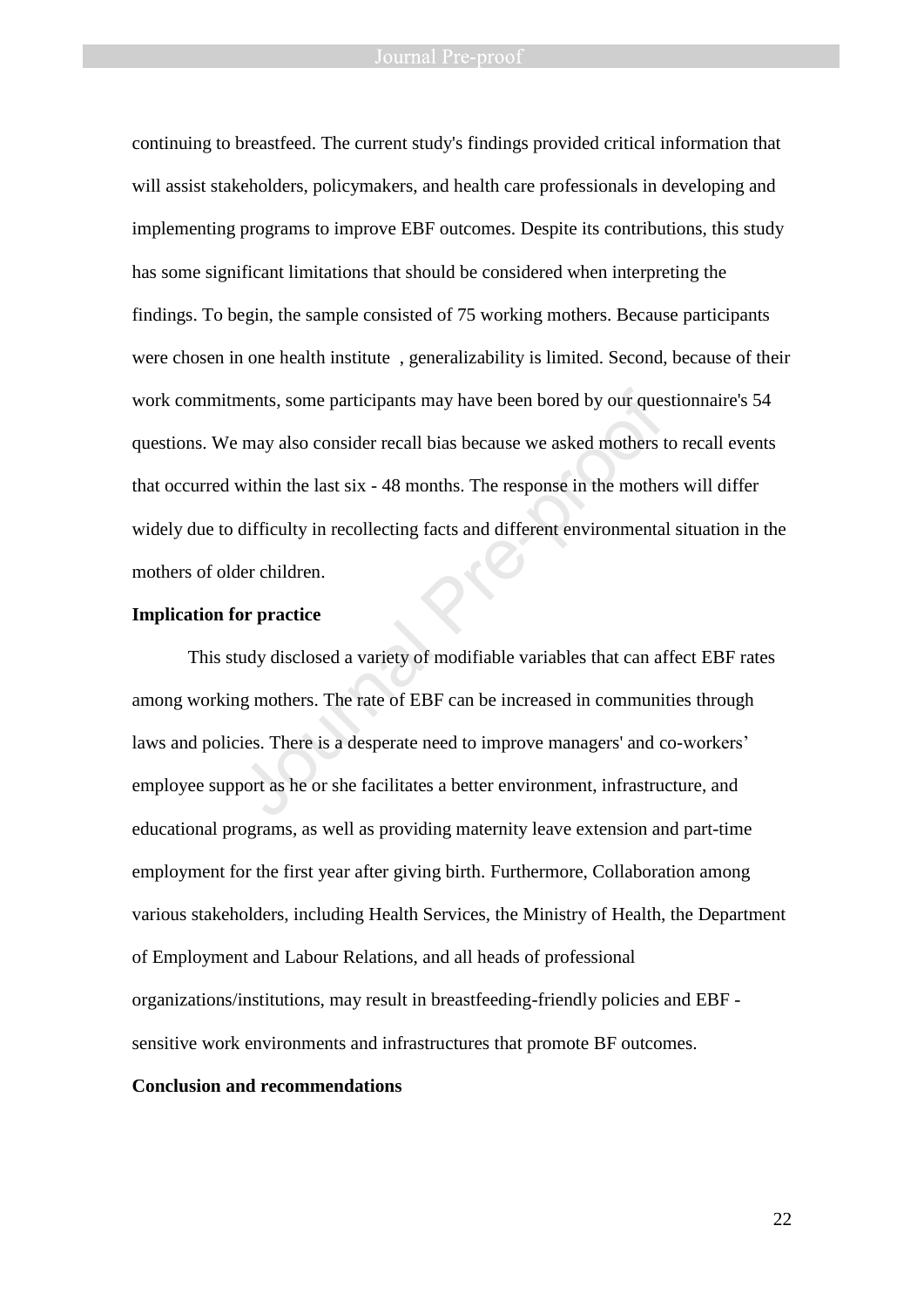#### Journal Pre-proof

continuing to breastfeed. The current study's findings provided critical information that will assist stakeholders, policymakers, and health care professionals in developing and implementing programs to improve EBF outcomes. Despite its contributions, this study has some significant limitations that should be considered when interpreting the findings. To begin, the sample consisted of 75 working mothers. Because participants were chosen in one health institute , generalizability is limited. Second, because of their work commitments, some participants may have been bored by our questionnaire's 54 questions. We may also consider recall bias because we asked mothers to recall events that occurred within the last six - 48 months. The response in the mothers will differ widely due to difficulty in recollecting facts and different environmental situation in the mothers of older children. ments, some participants may have been bored by our ques<br>
rmay also consider recall bias because we asked mothers twithin the last six - 48 months. The response in the mother<br>
difficulty in recollecting facts and different

#### **Implication for practice**

This study disclosed a variety of modifiable variables that can affect EBF rates among working mothers. The rate of EBF can be increased in communities through laws and policies. There is a desperate need to improve managers' and co-workers' employee support as he or she facilitates a better environment, infrastructure, and educational programs, as well as providing maternity leave extension and part-time employment for the first year after giving birth. Furthermore, Collaboration among various stakeholders, including Health Services, the Ministry of Health, the Department of Employment and Labour Relations, and all heads of professional organizations/institutions, may result in breastfeeding-friendly policies and EBF sensitive work environments and infrastructures that promote BF outcomes.

#### **Conclusion and recommendations**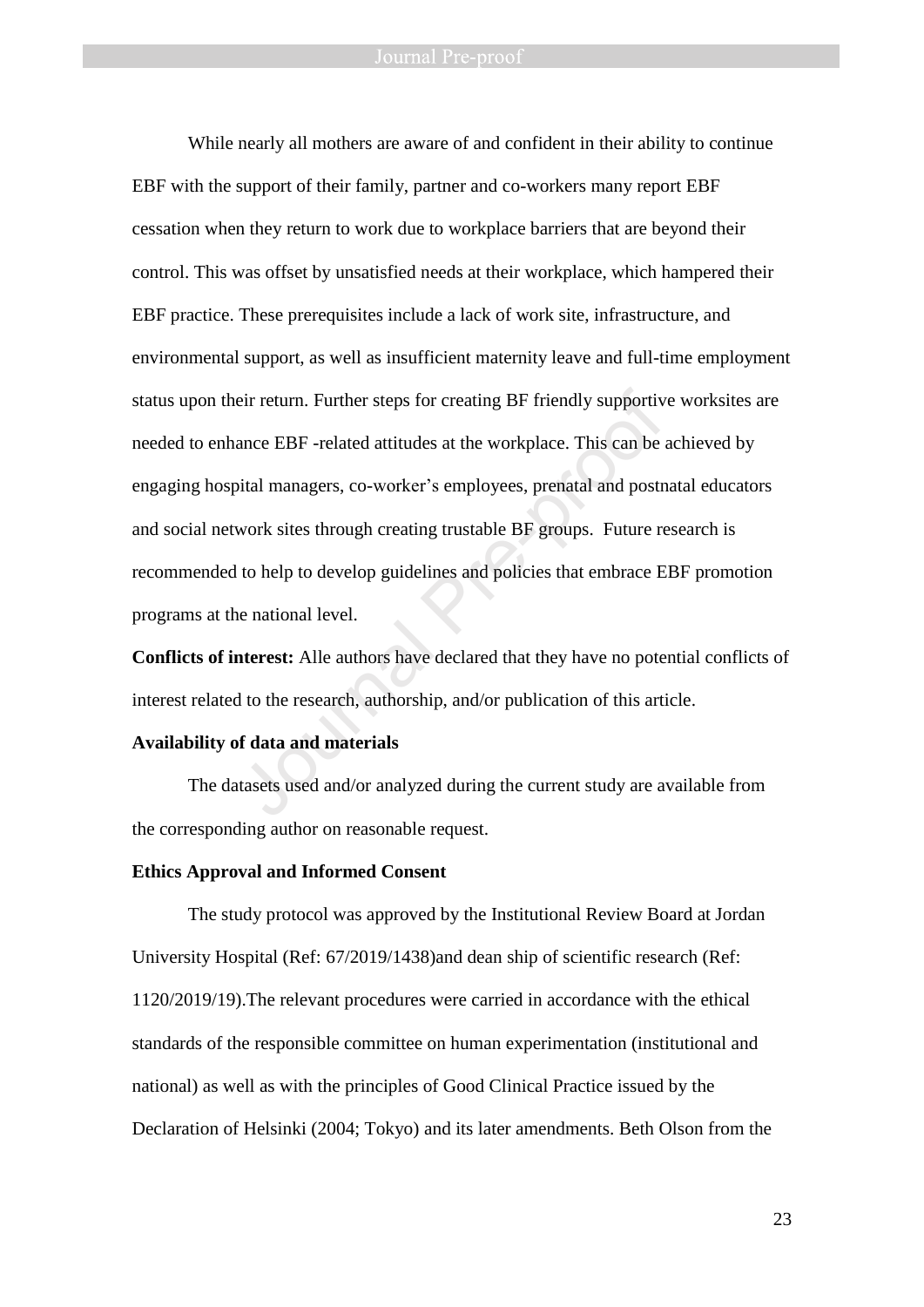While nearly all mothers are aware of and confident in their ability to continue EBF with the support of their family, partner and co-workers many report EBF cessation when they return to work due to workplace barriers that are beyond their control. This was offset by unsatisfied needs at their workplace, which hampered their EBF practice. These prerequisites include a lack of work site, infrastructure, and environmental support, as well as insufficient maternity leave and full-time employment status upon their return. Further steps for creating BF friendly supportive worksites are needed to enhance EBF -related attitudes at the workplace. This can be achieved by engaging hospital managers, co-worker's employees, prenatal and postnatal educators and social network sites through creating trustable BF groups. Future research is recommended to help to develop guidelines and policies that embrace EBF promotion programs at the national level. eir return. Further steps for creating BF friendly supportivance EBF -related attitudes at the workplace. This can be a<br>bital managers, co-worker's employees, prenatal and postn<br>work sites through creating trustable BF gro

**Conflicts of interest:** Alle authors have declared that they have no potential conflicts of interest related to the research, authorship, and/or publication of this article.

## **Availability of data and materials**

The datasets used and/or analyzed during the current study are available from the corresponding author on reasonable request.

#### **Ethics Approval and Informed Consent**

The study protocol was approved by the Institutional Review Board at Jordan University Hospital (Ref: 67/2019/1438)and dean ship of scientific research (Ref: 1120/2019/19).The relevant procedures were carried in accordance with the ethical standards of the responsible committee on human experimentation (institutional and national) as well as with the principles of Good Clinical Practice issued by the Declaration of Helsinki (2004; Tokyo) and its later amendments. Beth Olson from the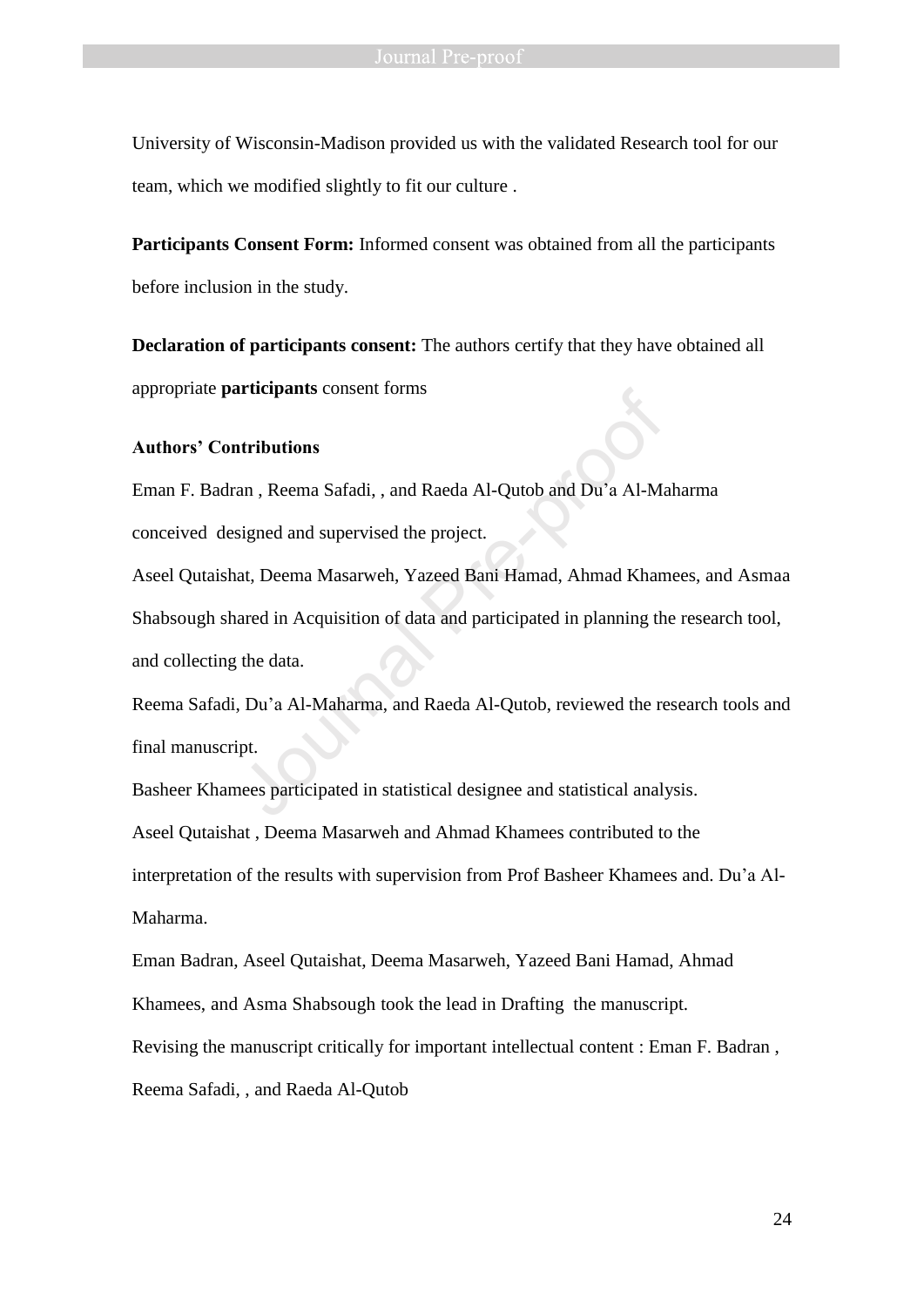University of Wisconsin-Madison provided us with the validated Research tool for our team, which we modified slightly to fit our culture .

**Participants Consent Form:** Informed consent was obtained from all the participants before inclusion in the study.

**Declaration of participants consent:** The authors certify that they have obtained all appropriate **participants** consent forms

#### **Authors' Contributions**

Eman F. Badran , Reema Safadi, , and Raeda Al-Qutob and Du'a Al-Maharma conceived designed and supervised the project.

Aseel Qutaishat, Deema Masarweh, Yazeed Bani Hamad, Ahmad Khamees, and Asmaa Shabsough shared in Acquisition of data and participated in planning the research tool, and collecting the data. an , Reema Safadi, , and Raeda Al-Qutob and Du'a Al-Masigned and supervised the project.<br>
at, Deema Masarweh, Yazeed Bani Hamad, Ahmad Khan<br>
ared in Acquisition of data and participated in planning the data.<br>
, Du'a Al-Mah

Reema Safadi, Du'a Al-Maharma, and Raeda Al-Qutob, reviewed the research tools and final manuscript.

Basheer Khamees participated in statistical designee and statistical analysis.

Aseel Qutaishat , Deema Masarweh and Ahmad Khamees contributed to the

interpretation of the results with supervision from Prof Basheer Khamees and. Du'a Al-Maharma.

Eman Badran, Aseel Qutaishat, Deema Masarweh, Yazeed Bani Hamad, Ahmad

Khamees, and Asma Shabsough took the lead in Drafting the manuscript.

Revising the manuscript critically for important intellectual content : Eman F. Badran ,

Reema Safadi, , and Raeda Al-Qutob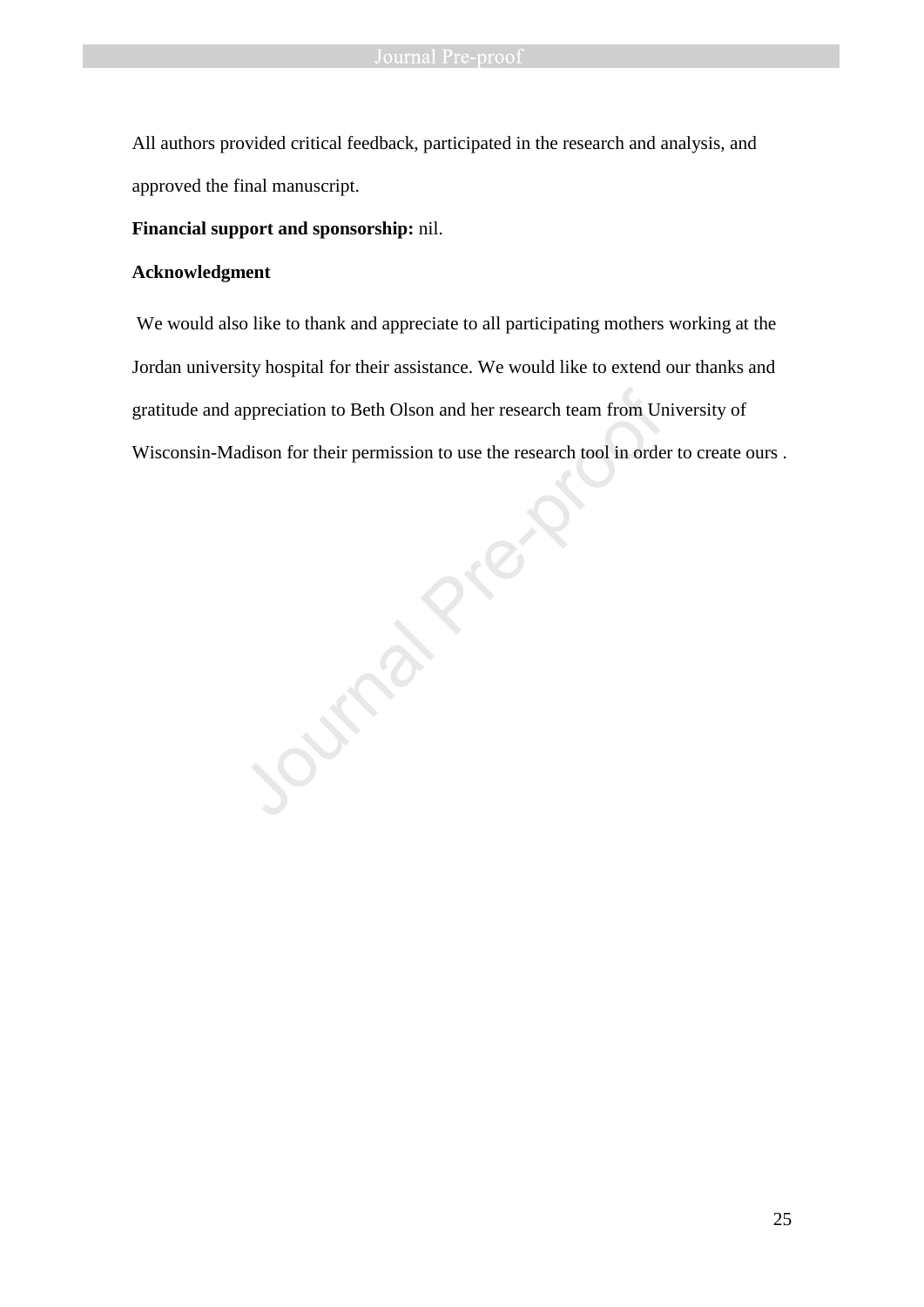All authors provided critical feedback, participated in the research and analysis, and approved the final manuscript.

### **Financial support and sponsorship:** nil.

## **Acknowledgment**

We would also like to thank and appreciate to all participating mothers working at the Jordan university hospital for their assistance. We would like to extend our thanks and gratitude and appreciation to Beth Olson and her research team from University of Wisconsin-Madison for their permission to use the research tool in order to create ours .

Journal Pre-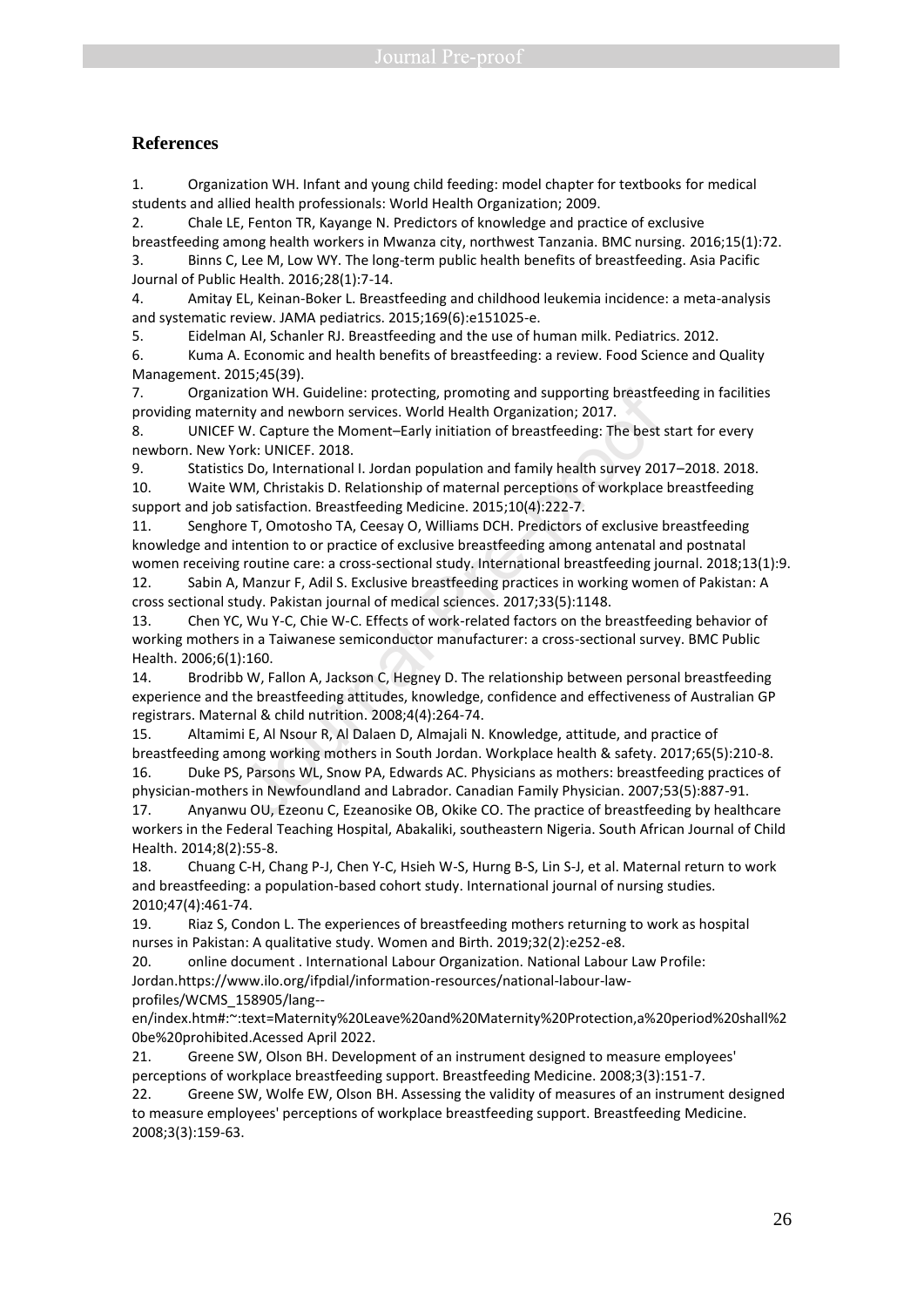#### **References**

1. Organization WH. Infant and young child feeding: model chapter for textbooks for medical students and allied health professionals: World Health Organization; 2009.

2. Chale LE, Fenton TR, Kayange N. Predictors of knowledge and practice of exclusive breastfeeding among health workers in Mwanza city, northwest Tanzania. BMC nursing. 2016;15(1):72. 3. Binns C, Lee M, Low WY. The long-term public health benefits of breastfeeding. Asia Pacific

Journal of Public Health. 2016;28(1):7-14.

4. Amitay EL, Keinan-Boker L. Breastfeeding and childhood leukemia incidence: a meta-analysis and systematic review. JAMA pediatrics. 2015;169(6):e151025-e.

5. Eidelman AI, Schanler RJ. Breastfeeding and the use of human milk. Pediatrics. 2012.

6. Kuma A. Economic and health benefits of breastfeeding: a review. Food Science and Quality Management. 2015;45(39).

7. Organization WH. Guideline: protecting, promoting and supporting breastfeeding in facilities providing maternity and newborn services. World Health Organization; 2017.

8. UNICEF W. Capture the Moment–Early initiation of breastfeeding: The best start for every newborn. New York: UNICEF. 2018.

9. Statistics Do, International I. Jordan population and family health survey 2017–2018. 2018. 10. Waite WM, Christakis D. Relationship of maternal perceptions of workplace breastfeeding support and job satisfaction. Breastfeeding Medicine. 2015;10(4):222-7.

11. Senghore T, Omotosho TA, Ceesay O, Williams DCH. Predictors of exclusive breastfeeding knowledge and intention to or practice of exclusive breastfeeding among antenatal and postnatal women receiving routine care: a cross-sectional study. International breastfeeding journal. 2018;13(1):9. ation WH. Guideline: protecting, promoting and supporting breastfee<br>inty and newborn services. World Health Organization; 2017.<br>W. Capture the Moment-Early initiation of breastfeeding: The best s<br>ork: UNICEF. 2018.<br>S. Do,

12. Sabin A, Manzur F, Adil S. Exclusive breastfeeding practices in working women of Pakistan: A cross sectional study. Pakistan journal of medical sciences. 2017;33(5):1148.

13. Chen YC, Wu Y-C, Chie W-C. Effects of work-related factors on the breastfeeding behavior of working mothers in a Taiwanese semiconductor manufacturer: a cross-sectional survey. BMC Public Health. 2006;6(1):160.

14. Brodribb W, Fallon A, Jackson C, Hegney D. The relationship between personal breastfeeding experience and the breastfeeding attitudes, knowledge, confidence and effectiveness of Australian GP registrars. Maternal & child nutrition. 2008;4(4):264-74.

15. Altamimi E, Al Nsour R, Al Dalaen D, Almajali N. Knowledge, attitude, and practice of breastfeeding among working mothers in South Jordan. Workplace health & safety. 2017;65(5):210-8. 16. Duke PS, Parsons WL, Snow PA, Edwards AC. Physicians as mothers: breastfeeding practices of

physician-mothers in Newfoundland and Labrador. Canadian Family Physician. 2007;53(5):887-91. 17. Anyanwu OU, Ezeonu C, Ezeanosike OB, Okike CO. The practice of breastfeeding by healthcare workers in the Federal Teaching Hospital, Abakaliki, southeastern Nigeria. South African Journal of Child

Health. 2014;8(2):55-8.

18. Chuang C-H, Chang P-J, Chen Y-C, Hsieh W-S, Hurng B-S, Lin S-J, et al. Maternal return to work and breastfeeding: a population-based cohort study. International journal of nursing studies. 2010;47(4):461-74.

19. Riaz S, Condon L. The experiences of breastfeeding mothers returning to work as hospital nurses in Pakistan: A qualitative study. Women and Birth. 2019;32(2):e252-e8.

20. online document . International Labour Organization. National Labour Law Profile: Jordan.https://www.ilo.org/ifpdial/information-resources/national-labour-lawprofiles/WCMS\_158905/lang--

en/index.htm#:~:text=Maternity%20Leave%20and%20Maternity%20Protection,a%20period%20shall%2 0be%20prohibited.Acessed April 2022.

21. Greene SW, Olson BH. Development of an instrument designed to measure employees' perceptions of workplace breastfeeding support. Breastfeeding Medicine. 2008;3(3):151-7.

22. Greene SW, Wolfe EW, Olson BH. Assessing the validity of measures of an instrument designed to measure employees' perceptions of workplace breastfeeding support. Breastfeeding Medicine. 2008;3(3):159-63.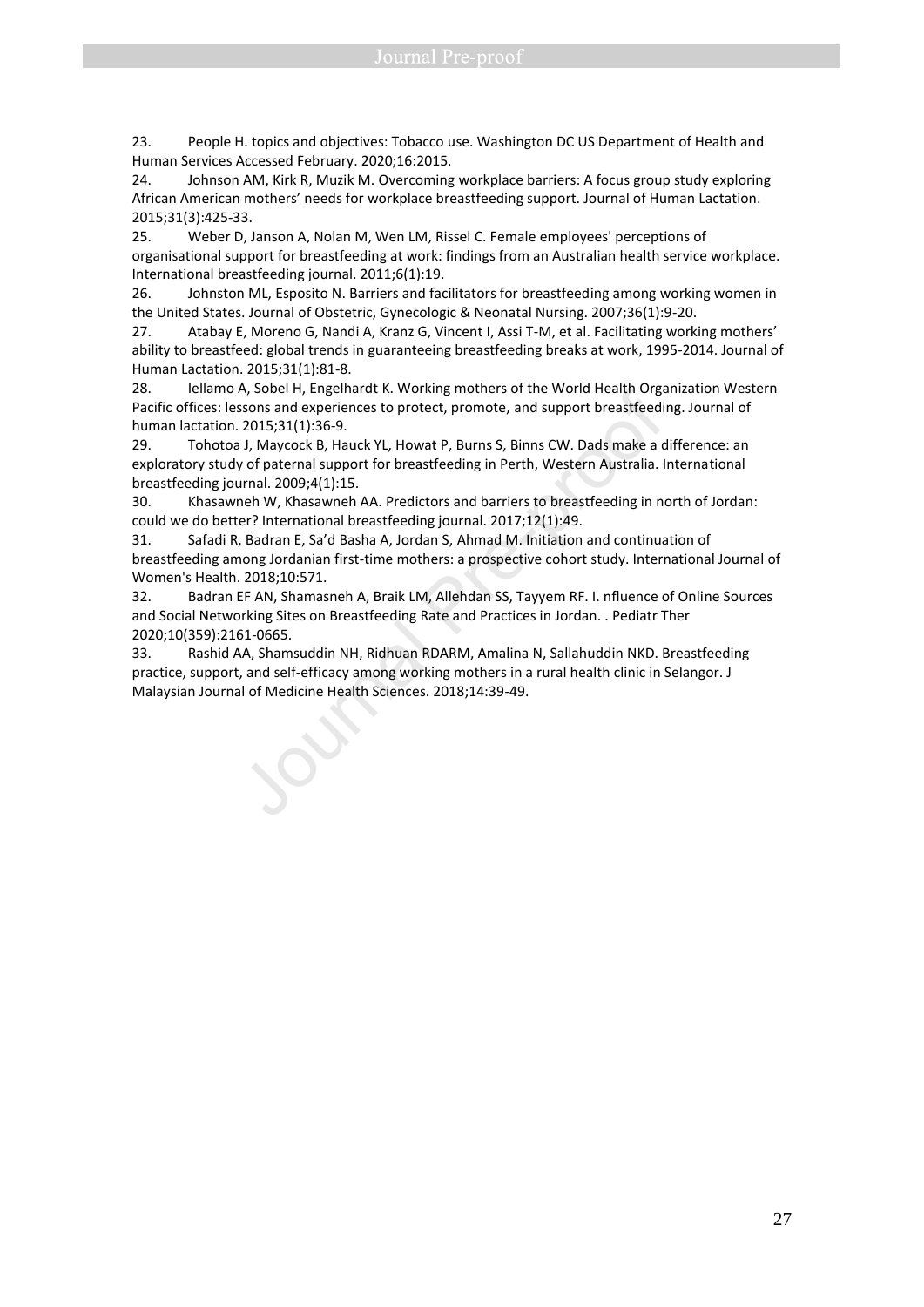23. People H. topics and objectives: Tobacco use. Washington DC US Department of Health and Human Services Accessed February. 2020;16:2015.

24. Johnson AM, Kirk R, Muzik M. Overcoming workplace barriers: A focus group study exploring African American mothers' needs for workplace breastfeeding support. Journal of Human Lactation. 2015;31(3):425-33.

25. Weber D, Janson A, Nolan M, Wen LM, Rissel C. Female employees' perceptions of organisational support for breastfeeding at work: findings from an Australian health service workplace. International breastfeeding journal. 2011;6(1):19.

26. Johnston ML, Esposito N. Barriers and facilitators for breastfeeding among working women in the United States. Journal of Obstetric, Gynecologic & Neonatal Nursing. 2007;36(1):9-20.

27. Atabay E, Moreno G, Nandi A, Kranz G, Vincent I, Assi T-M, et al. Facilitating working mothers' ability to breastfeed: global trends in guaranteeing breastfeeding breaks at work, 1995-2014. Journal of Human Lactation. 2015;31(1):81-8.

28. Iellamo A, Sobel H, Engelhardt K. Working mothers of the World Health Organization Western Pacific offices: lessons and experiences to protect, promote, and support breastfeeding. Journal of human lactation. 2015;31(1):36-9.

29. Tohotoa J, Maycock B, Hauck YL, Howat P, Burns S, Binns CW. Dads make a difference: an exploratory study of paternal support for breastfeeding in Perth, Western Australia. International breastfeeding journal. 2009;4(1):15.

30. Khasawneh W, Khasawneh AA. Predictors and barriers to breastfeeding in north of Jordan: could we do better? International breastfeeding journal. 2017;12(1):49.

31. Safadi R, Badran E, Sa'd Basha A, Jordan S, Ahmad M. Initiation and continuation of breastfeeding among Jordanian first-time mothers: a prospective cohort study. International Journal of Women's Health. 2018;10:571.

32. Badran EF AN, Shamasneh A, Braik LM, Allehdan SS, Tayyem RF. I. nfluence of Online Sources and Social Networking Sites on Breastfeeding Rate and Practices in Jordan. . Pediatr Ther 2020;10(359):2161-0665.

33. Rashid AA, Shamsuddin NH, Ridhuan RDARM, Amalina N, Sallahuddin NKD. Breastfeeding practice, support, and self-efficacy among working mothers in a rural health clinic in Selangor. J 28. Ieliamo A, Soolel H, Engelandrat K. Working mothers of the World Health Organization Pacific offices: lessons and experiences to protect, promote, and support breastfeedin human lactation. 2015;31(1):36-9.<br>29. Tohotoa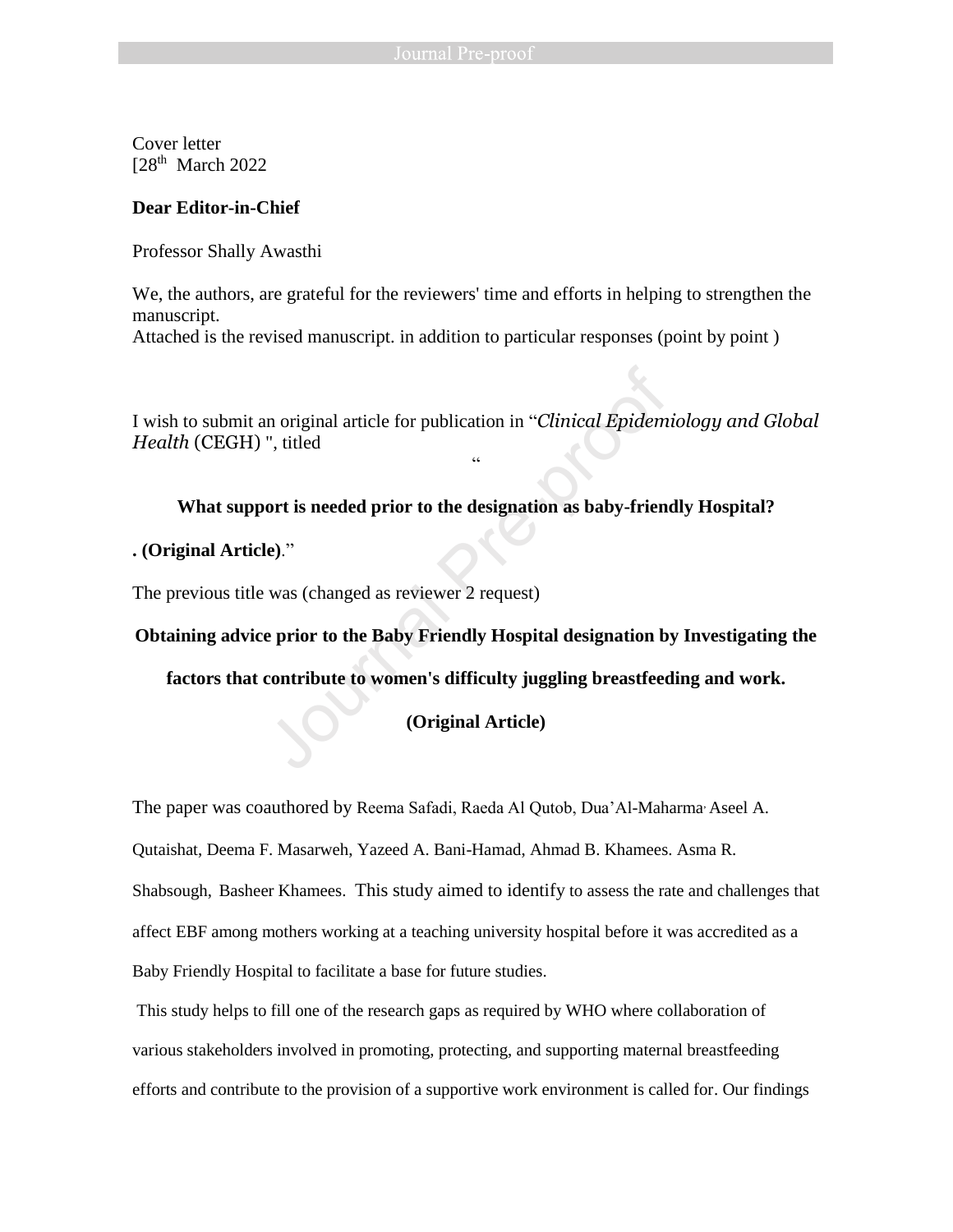Cover letter [28<sup>th</sup> March 2022]

### **Dear Editor-in-Chief**

Professor Shally Awasthi

We, the authors, are grateful for the reviewers' time and efforts in helping to strengthen the manuscript.

Attached is the revised manuscript. in addition to particular responses (point by point )

I wish to submit an original article for publication in "*Clinical Epidemiology and Global Health* (CEGH) ", titled Moort is needed prior to the designation as baby-friend<br>
", titled<br>
"...<br>
Noort is needed prior to the designation as baby-friend<br>
"...<br>
"Was (changed as reviewer 2 request)<br>
e prior to the Baby Friendly Hospital designati

"

**What support is needed prior to the designation as baby-friendly Hospital?**

**. (Original Article)**."

The previous title was (changed as reviewer 2 request)

**Obtaining advice prior to the Baby Friendly Hospital designation by Investigating the** 

**factors that contribute to women's difficulty juggling breastfeeding and work.** 

**(Original Article)**

The paper was coauthored by Reema Safadi, Raeda Al Qutob, Dua'Al-Maharma, Aseel A.

Qutaishat, Deema F. Masarweh, Yazeed A. Bani-Hamad, Ahmad B. Khamees. Asma R.

Shabsough, Basheer Khamees. This study aimed to identify to assess the rate and challenges that

affect EBF among mothers working at a teaching university hospital before it was accredited as a

Baby Friendly Hospital to facilitate a base for future studies.

This study helps to fill one of the research gaps as required by WHO where collaboration of various stakeholders involved in promoting, protecting, and supporting maternal breastfeeding efforts and contribute to the provision of a supportive work environment is called for. Our findings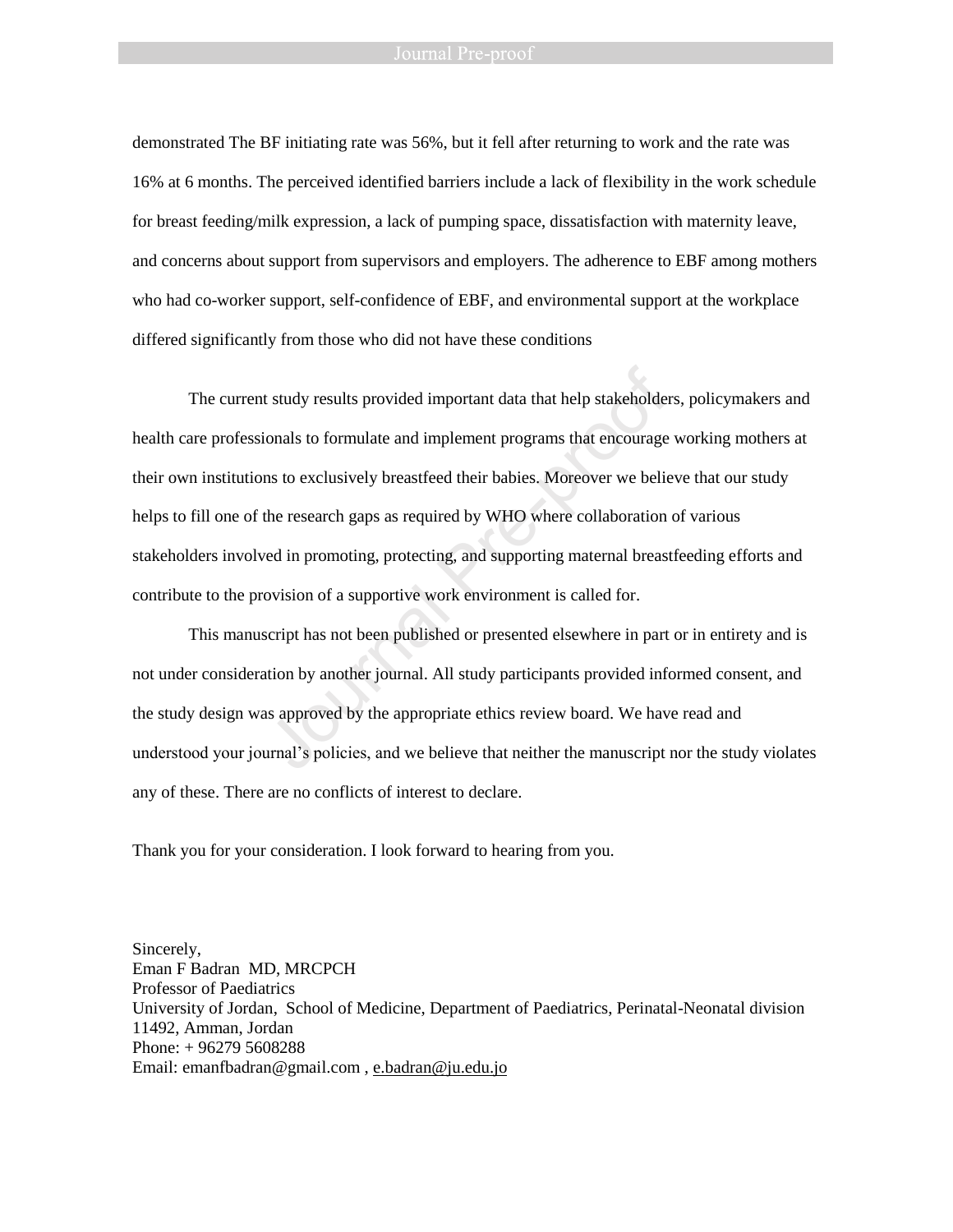#### Journal Pre-proof

demonstrated The BF initiating rate was 56%, but it fell after returning to work and the rate was 16% at 6 months. The perceived identified barriers include a lack of flexibility in the work schedule for breast feeding/milk expression, a lack of pumping space, dissatisfaction with maternity leave, and concerns about support from supervisors and employers. The adherence to EBF among mothers who had co-worker support, self-confidence of EBF, and environmental support at the workplace differed significantly from those who did not have these conditions

The current study results provided important data that help stakeholders, policymakers and health care professionals to formulate and implement programs that encourage working mothers at their own institutions to exclusively breastfeed their babies. Moreover we believe that our study helps to fill one of the research gaps as required by WHO where collaboration of various stakeholders involved in promoting, protecting, and supporting maternal breastfeeding efforts and contribute to the provision of a supportive work environment is called for. t study results provided important data that help stakeholder<br>ionals to formulate and implement programs that encourage<br>ns to exclusively breastfeed their babies. Moreover we belie<br>the research gaps as required by WHO wher

This manuscript has not been published or presented elsewhere in part or in entirety and is not under consideration by another journal. All study participants provided informed consent, and the study design was approved by the appropriate ethics review board. We have read and understood your journal's policies, and we believe that neither the manuscript nor the study violates any of these. There are no conflicts of interest to declare.

Thank you for your consideration. I look forward to hearing from you.

Sincerely, Eman F Badran MD, MRCPCH Professor of Paediatrics University of Jordan, School of Medicine, Department of Paediatrics, Perinatal-Neonatal division 11492, Amman, Jordan Phone: + 96279 5608288 Email: emanfbadran@gmail.com , [e.badran@ju.edu.jo](mailto:e.badran@ju.edu.jo)